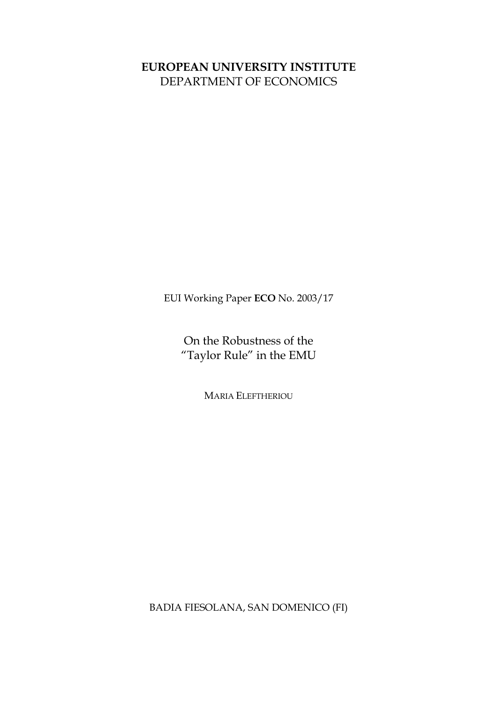### **EUROPEAN UNIVERSITY INSTITUTE** DEPARTMENT OF ECONOMICS

EUI Working Paper **ECO** No. 2003/17

On the Robustness of the "Taylor Rule" in the EMU

MARIA ELEFTHERIOU

BADIA FIESOLANA, SAN DOMENICO (FI)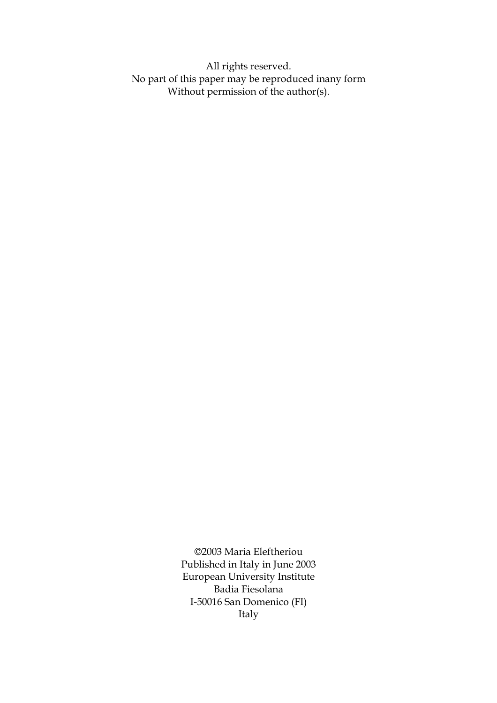All rights reserved. No part of this paper may be reproduced inany form Without permission of the author(s).

> ©2003 Maria Eleftheriou Published in Italy in June 2003 European University Institute Badia Fiesolana I-50016 San Domenico (FI) Italy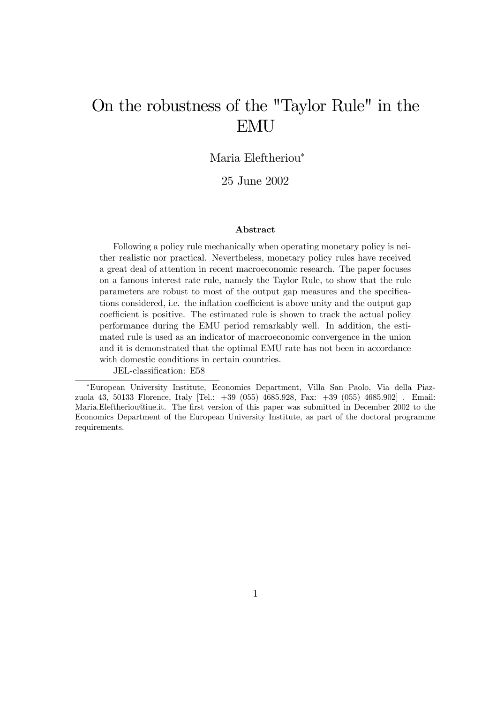# On the robustness of the "Taylor Rule" in the EMU

Maria Eleftheriou<sup>∗</sup>

25 June 2002

#### Abstract

Following a policy rule mechanically when operating monetary policy is neither realistic nor practical. Nevertheless, monetary policy rules have received a great deal of attention in recent macroeconomic research. The paper focuses on a famous interest rate rule, namely the Taylor Rule, to show that the rule parameters are robust to most of the output gap measures and the specifications considered, i.e. the inflation coefficient is above unity and the output gap coefficient is positive. The estimated rule is shown to track the actual policy performance during the EMU period remarkably well. In addition, the estimated rule is used as an indicator of macroeconomic convergence in the union and it is demonstrated that the optimal EMU rate has not been in accordance with domestic conditions in certain countries.

JEL-classification: E58

<sup>∗</sup>European University Institute, Economics Department, Villa San Paolo, Via della Piazzuola 43, 50133 Florence, Italy [Tel.: +39 (055) 4685.928, Fax: +39 (055) 4685.902] . Email: Maria.Eleftheriou@iue.it. The first version of this paper was submitted in December 2002 to the Economics Department of the European University Institute, as part of the doctoral programme requirements.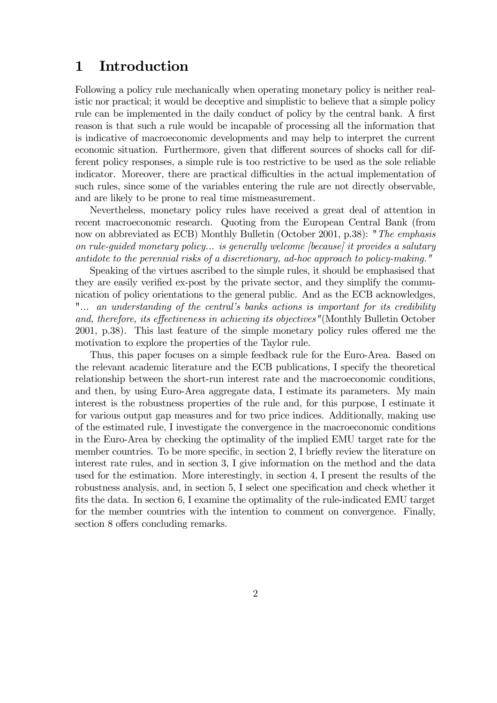### 1 Introduction

Following a policy rule mechanically when operating monetary policy is neither realistic nor practical; it would be deceptive and simplistic to believe that a simple policy rule can be implemented in the daily conduct of policy by the central bank. A first reason is that such a rule would be incapable of processing all the information that is indicative of macroeconomic developments and may help to interpret the current economic situation. Furthermore, given that different sources of shocks call for different policy responses, a simple rule is too restrictive to be used as the sole reliable indicator. Moreover, there are practical difficulties in the actual implementation of such rules, since some of the variables entering the rule are not directly observable, and are likely to be prone to real time mismeasurement.

Nevertheless, monetary policy rules have received a great deal of attention in recent macroeconomic research. Quoting from the European Central Bank (from now on abbreviated as ECB) Monthly Bulletin (October 2001, p.38): "The emphasis on rule-guided monetary policy... is generally welcome [because] it provides a salutary antidote to the perennial risks of a discretionary, ad-hoc approach to policy-making."

Speaking of the virtues ascribed to the simple rules, it should be emphasised that they are easily verified ex-post by the private sector, and they simplify the communication of policy orientations to the general public. And as the ECB acknowledges, "... an understanding of the central's banks actions is important for its credibility and, therefore, its effectiveness in achieving its objectives"(Monthly Bulletin October 2001, p.38). This last feature of the simple monetary policy rules offered me the motivation to explore the properties of the Taylor rule.

Thus, this paper focuses on a simple feedback rule for the Euro-Area. Based on the relevant academic literature and the ECB publications, I specify the theoretical relationship between the short-run interest rate and the macroeconomic conditions, and then, by using Euro-Area aggregate data, I estimate its parameters. My main interest is the robustness properties of the rule and, for this purpose, I estimate it for various output gap measures and for two price indices. Additionally, making use of the estimated rule, I investigate the convergence in the macroeconomic conditions in the Euro-Area by checking the optimality of the implied EMU target rate for the member countries. To be more specific, in section 2, I briefly review the literature on interest rate rules, and in section 3, I give information on the method and the data used for the estimation. More interestingly, in section 4, I present the results of the robustness analysis, and, in section 5, I select one specification and check whether it fits the data. In section 6, I examine the optimality of the rule-indicated EMU target for the member countries with the intention to comment on convergence. Finally, section 8 offers concluding remarks.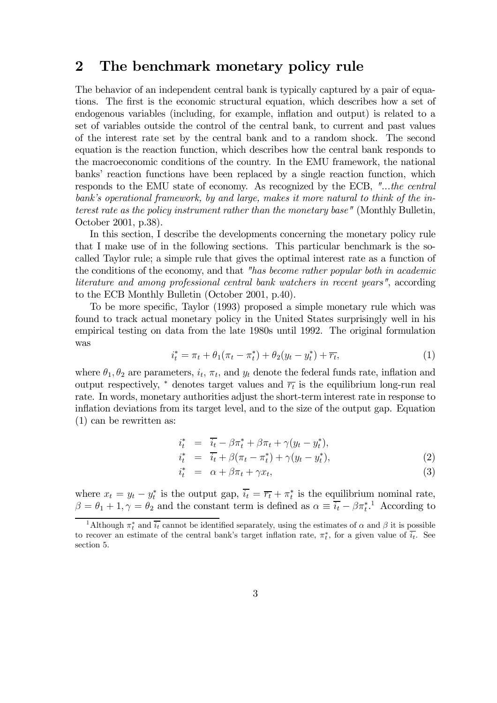### 2 The benchmark monetary policy rule

The behavior of an independent central bank is typically captured by a pair of equations. The first is the economic structural equation, which describes how a set of endogenous variables (including, for example, inflation and output) is related to a set of variables outside the control of the central bank, to current and past values of the interest rate set by the central bank and to a random shock. The second equation is the reaction function, which describes how the central bank responds to the macroeconomic conditions of the country. In the EMU framework, the national banks' reaction functions have been replaced by a single reaction function, which responds to the EMU state of economy. As recognized by the ECB, "...the central bank's operational framework, by and large, makes it more natural to think of the interest rate as the policy instrument rather than the monetary base" (Monthly Bulletin, October 2001, p.38).

In this section, I describe the developments concerning the monetary policy rule that I make use of in the following sections. This particular benchmark is the socalled Taylor rule; a simple rule that gives the optimal interest rate as a function of the conditions of the economy, and that "has become rather popular both in academic literature and among professional central bank watchers in recent years", according to the ECB Monthly Bulletin (October 2001, p.40).

To be more specific, Taylor (1993) proposed a simple monetary rule which was found to track actual monetary policy in the United States surprisingly well in his empirical testing on data from the late 1980s until 1992. The original formulation was

$$
i_t^* = \pi_t + \theta_1(\pi_t - \pi_t^*) + \theta_2(y_t - y_t^*) + \overline{r_t},
$$
\n(1)

where  $\theta_1, \theta_2$  are parameters,  $i_t, \pi_t$ , and  $y_t$  denote the federal funds rate, inflation and output respectively,  $*$  denotes target values and  $\overline{r_t}$  is the equilibrium long-run real rate. In words, monetary authorities adjust the short-term interest rate in response to inflation deviations from its target level, and to the size of the output gap. Equation (1) can be rewritten as:

$$
\begin{array}{rcl}\ni_t^* & = & \overline{i_t} - \beta \pi_t^* + \beta \pi_t + \gamma (y_t - y_t^*), \\
i_t^* & = & \overline{i_t} + \beta (\pi_t - \pi_t^*) + \gamma (y_t - y_t^*),\n\end{array} \tag{2}
$$

$$
i_t^* = \alpha + \beta \pi_t + \gamma x_t, \tag{3}
$$

where  $x_t = y_t - y_t^*$  is the output gap,  $\overline{i_t} = \overline{r_t} + \pi_t^*$  is the equilibrium nominal rate,  $\beta = \theta_1 + 1, \gamma = \theta_2$  and the constant term is defined as  $\alpha \equiv \overline{i_t} - \beta \pi_t^*$ . According to

<sup>&</sup>lt;sup>1</sup>Although  $\pi_t^*$  and  $\overline{i_t}$  cannot be identified separately, using the estimates of  $\alpha$  and  $\beta$  it is possible to recover an estimate of the central bank's target inflation rate,  $\pi_t^*$ , for a given value of  $\overline{i_t}$ . See section 5.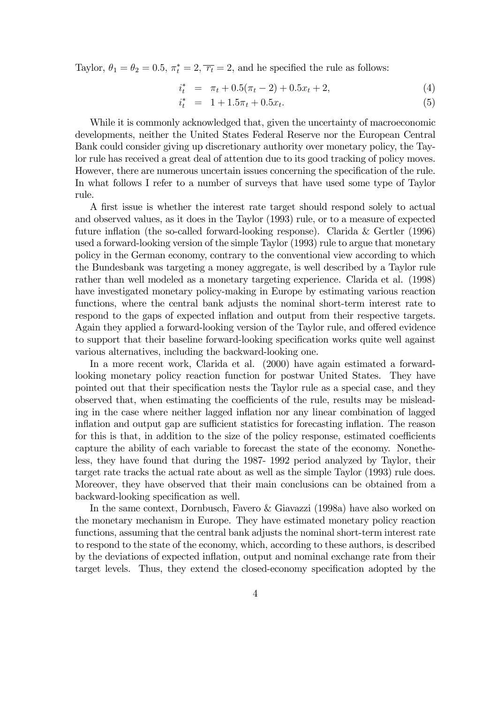Taylor,  $\theta_1 = \theta_2 = 0.5$ ,  $\pi_t^* = 2$ ,  $\overline{r_t} = 2$ , and he specified the rule as follows:

$$
i_t^* = \pi_t + 0.5(\pi_t - 2) + 0.5x_t + 2,\tag{4}
$$

$$
i_t^* = 1 + 1.5\pi_t + 0.5x_t.
$$
 (5)

While it is commonly acknowledged that, given the uncertainty of macroeconomic developments, neither the United States Federal Reserve nor the European Central Bank could consider giving up discretionary authority over monetary policy, the Taylor rule has received a great deal of attention due to its good tracking of policy moves. However, there are numerous uncertain issues concerning the specification of the rule. In what follows I refer to a number of surveys that have used some type of Taylor rule.

A first issue is whether the interest rate target should respond solely to actual and observed values, as it does in the Taylor (1993) rule, or to a measure of expected future inflation (the so-called forward-looking response). Clarida & Gertler (1996) used a forward-looking version of the simple Taylor (1993) rule to argue that monetary policy in the German economy, contrary to the conventional view according to which the Bundesbank was targeting a money aggregate, is well described by a Taylor rule rather than well modeled as a monetary targeting experience. Clarida et al. (1998) have investigated monetary policy-making in Europe by estimating various reaction functions, where the central bank adjusts the nominal short-term interest rate to respond to the gaps of expected inflation and output from their respective targets. Again they applied a forward-looking version of the Taylor rule, and offered evidence to support that their baseline forward-looking specification works quite well against various alternatives, including the backward-looking one.

In a more recent work, Clarida et al. (2000) have again estimated a forwardlooking monetary policy reaction function for postwar United States. They have pointed out that their specification nests the Taylor rule as a special case, and they observed that, when estimating the coefficients of the rule, results may be misleading in the case where neither lagged inflation nor any linear combination of lagged inflation and output gap are sufficient statistics for forecasting inflation. The reason for this is that, in addition to the size of the policy response, estimated coefficients capture the ability of each variable to forecast the state of the economy. Nonetheless, they have found that during the 1987- 1992 period analyzed by Taylor, their target rate tracks the actual rate about as well as the simple Taylor (1993) rule does. Moreover, they have observed that their main conclusions can be obtained from a backward-looking specification as well.

In the same context, Dornbusch, Favero & Giavazzi (1998a) have also worked on the monetary mechanism in Europe. They have estimated monetary policy reaction functions, assuming that the central bank adjusts the nominal short-term interest rate to respond to the state of the economy, which, according to these authors, is described by the deviations of expected inflation, output and nominal exchange rate from their target levels. Thus, they extend the closed-economy specification adopted by the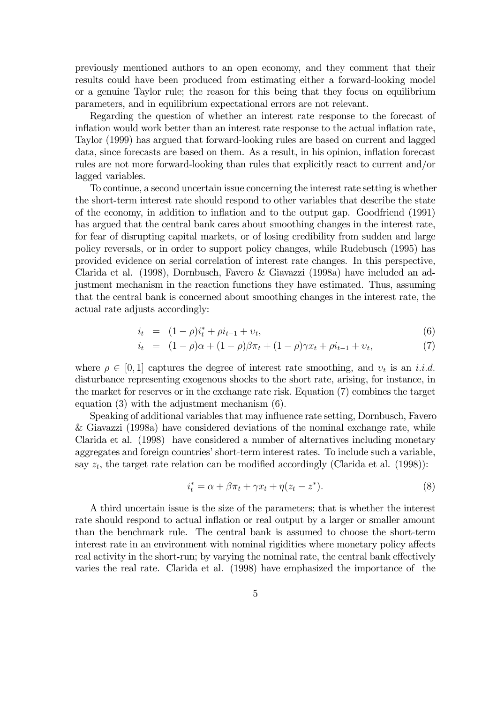previously mentioned authors to an open economy, and they comment that their results could have been produced from estimating either a forward-looking model or a genuine Taylor rule; the reason for this being that they focus on equilibrium parameters, and in equilibrium expectational errors are not relevant.

Regarding the question of whether an interest rate response to the forecast of inflation would work better than an interest rate response to the actual inflation rate, Taylor (1999) has argued that forward-looking rules are based on current and lagged data, since forecasts are based on them. As a result, in his opinion, inflation forecast rules are not more forward-looking than rules that explicitly react to current and/or lagged variables.

To continue, a second uncertain issue concerning the interest rate setting is whether the short-term interest rate should respond to other variables that describe the state of the economy, in addition to inflation and to the output gap. Goodfriend (1991) has argued that the central bank cares about smoothing changes in the interest rate, for fear of disrupting capital markets, or of losing credibility from sudden and large policy reversals, or in order to support policy changes, while Rudebusch (1995) has provided evidence on serial correlation of interest rate changes. In this perspective, Clarida et al. (1998), Dornbusch, Favero & Giavazzi (1998a) have included an adjustment mechanism in the reaction functions they have estimated. Thus, assuming that the central bank is concerned about smoothing changes in the interest rate, the actual rate adjusts accordingly:

$$
i_t = (1 - \rho)i_t^* + \rho i_{t-1} + \nu_t, \tag{6}
$$

$$
i_t = (1 - \rho)\alpha + (1 - \rho)\beta\pi_t + (1 - \rho)\gamma x_t + \rho i_{t-1} + \nu_t,\tag{7}
$$

where  $\rho \in [0,1]$  captures the degree of interest rate smoothing, and  $v_t$  is an *i.i.d.* disturbance representing exogenous shocks to the short rate, arising, for instance, in the market for reserves or in the exchange rate risk. Equation (7) combines the target equation (3) with the adjustment mechanism (6).

Speaking of additional variables that may influence rate setting, Dornbusch, Favero & Giavazzi (1998a) have considered deviations of the nominal exchange rate, while Clarida et al. (1998) have considered a number of alternatives including monetary aggregates and foreign countries' short-term interest rates. To include such a variable, say  $z_t$ , the target rate relation can be modified accordingly (Clarida et al. (1998)):

$$
i_t^* = \alpha + \beta \pi_t + \gamma x_t + \eta (z_t - z^*). \tag{8}
$$

A third uncertain issue is the size of the parameters; that is whether the interest rate should respond to actual inflation or real output by a larger or smaller amount than the benchmark rule. The central bank is assumed to choose the short-term interest rate in an environment with nominal rigidities where monetary policy affects real activity in the short-run; by varying the nominal rate, the central bank effectively varies the real rate. Clarida et al. (1998) have emphasized the importance of the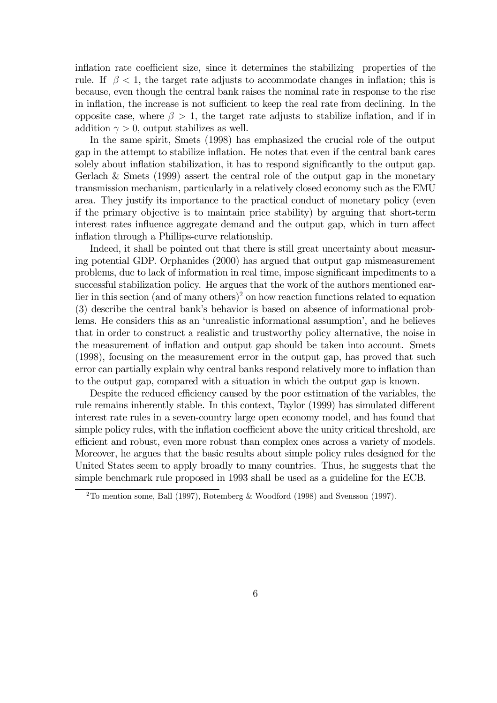inflation rate coefficient size, since it determines the stabilizing properties of the rule. If  $\beta < 1$ , the target rate adjusts to accommodate changes in inflation; this is because, even though the central bank raises the nominal rate in response to the rise in inflation, the increase is not sufficient to keep the real rate from declining. In the opposite case, where  $\beta > 1$ , the target rate adjusts to stabilize inflation, and if in addition  $\gamma > 0$ , output stabilizes as well.

In the same spirit, Smets (1998) has emphasized the crucial role of the output gap in the attempt to stabilize inflation. He notes that even if the central bank cares solely about inflation stabilization, it has to respond significantly to the output gap. Gerlach & Smets (1999) assert the central role of the output gap in the monetary transmission mechanism, particularly in a relatively closed economy such as the EMU area. They justify its importance to the practical conduct of monetary policy (even if the primary objective is to maintain price stability) by arguing that short-term interest rates influence aggregate demand and the output gap, which in turn affect inflation through a Phillips-curve relationship.

Indeed, it shall be pointed out that there is still great uncertainty about measuring potential GDP. Orphanides (2000) has argued that output gap mismeasurement problems, due to lack of information in real time, impose significant impediments to a successful stabilization policy. He argues that the work of the authors mentioned earlier in this section (and of many others)<sup>2</sup> on how reaction functions related to equation (3) describe the central bank's behavior is based on absence of informational problems. He considers this as an 'unrealistic informational assumption', and he believes that in order to construct a realistic and trustworthy policy alternative, the noise in the measurement of inflation and output gap should be taken into account. Smets (1998), focusing on the measurement error in the output gap, has proved that such error can partially explain why central banks respond relatively more to inflation than to the output gap, compared with a situation in which the output gap is known.

Despite the reduced efficiency caused by the poor estimation of the variables, the rule remains inherently stable. In this context, Taylor (1999) has simulated different interest rate rules in a seven-country large open economy model, and has found that simple policy rules, with the inflation coefficient above the unity critical threshold, are efficient and robust, even more robust than complex ones across a variety of models. Moreover, he argues that the basic results about simple policy rules designed for the United States seem to apply broadly to many countries. Thus, he suggests that the simple benchmark rule proposed in 1993 shall be used as a guideline for the ECB.

 $2$ To mention some, Ball (1997), Rotemberg & Woodford (1998) and Svensson (1997).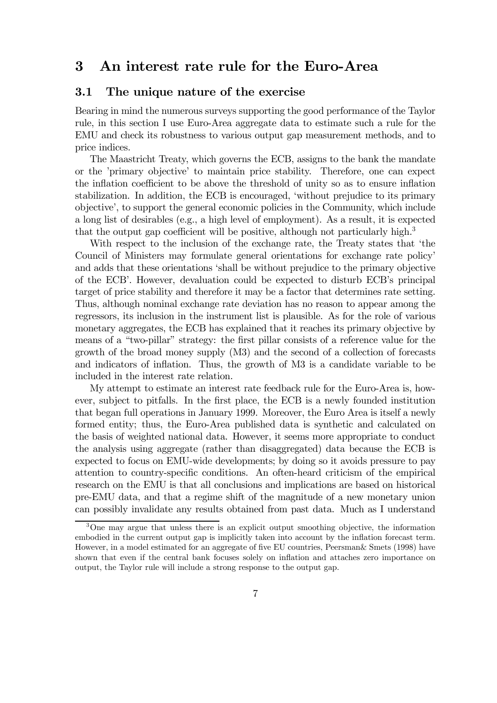### 3 An interest rate rule for the Euro-Area

#### 3.1 The unique nature of the exercise

Bearing in mind the numerous surveys supporting the good performance of the Taylor rule, in this section I use Euro-Area aggregate data to estimate such a rule for the EMU and check its robustness to various output gap measurement methods, and to price indices.

The Maastricht Treaty, which governs the ECB, assigns to the bank the mandate or the 'primary objective' to maintain price stability. Therefore, one can expect the inflation coefficient to be above the threshold of unity so as to ensure inflation stabilization. In addition, the ECB is encouraged, 'without prejudice to its primary objective', to support the general economic policies in the Community, which include a long list of desirables (e.g., a high level of employment). As a result, it is expected that the output gap coefficient will be positive, although not particularly high.<sup>3</sup>

With respect to the inclusion of the exchange rate, the Treaty states that 'the Council of Ministers may formulate general orientations for exchange rate policy' and adds that these orientations 'shall be without prejudice to the primary objective of the ECB'. However, devaluation could be expected to disturb ECB's principal target of price stability and therefore it may be a factor that determines rate setting. Thus, although nominal exchange rate deviation has no reason to appear among the regressors, its inclusion in the instrument list is plausible. As for the role of various monetary aggregates, the ECB has explained that it reaches its primary objective by means of a "two-pillar" strategy: the first pillar consists of a reference value for the growth of the broad money supply (M3) and the second of a collection of forecasts and indicators of inflation. Thus, the growth of M3 is a candidate variable to be included in the interest rate relation.

My attempt to estimate an interest rate feedback rule for the Euro-Area is, however, subject to pitfalls. In the first place, the ECB is a newly founded institution that began full operations in January 1999. Moreover, the Euro Area is itself a newly formed entity; thus, the Euro-Area published data is synthetic and calculated on the basis of weighted national data. However, it seems more appropriate to conduct the analysis using aggregate (rather than disaggregated) data because the ECB is expected to focus on EMU-wide developments; by doing so it avoids pressure to pay attention to country-specific conditions. An often-heard criticism of the empirical research on the EMU is that all conclusions and implications are based on historical pre-EMU data, and that a regime shift of the magnitude of a new monetary union can possibly invalidate any results obtained from past data. Much as I understand

<sup>&</sup>lt;sup>3</sup>One may argue that unless there is an explicit output smoothing objective, the information embodied in the current output gap is implicitly taken into account by the inflation forecast term. However, in a model estimated for an aggregate of five EU countries, Peersman& Smets (1998) have shown that even if the central bank focuses solely on inflation and attaches zero importance on output, the Taylor rule will include a strong response to the output gap.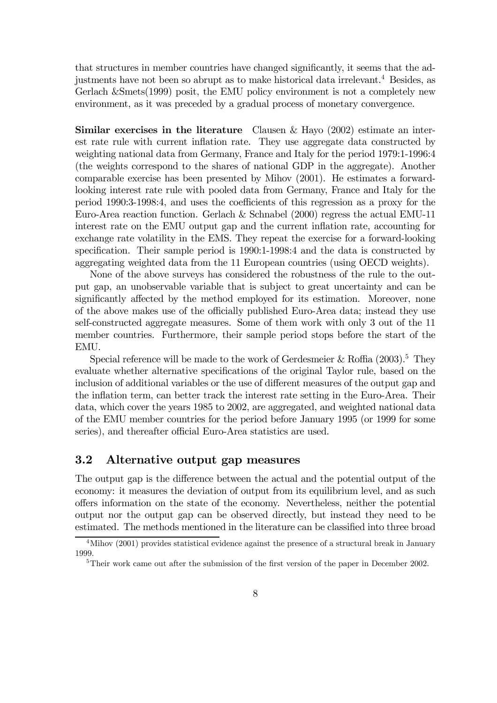that structures in member countries have changed significantly, it seems that the adjustments have not been so abrupt as to make historical data irrelevant.4 Besides, as Gerlach &Smets(1999) posit, the EMU policy environment is not a completely new environment, as it was preceded by a gradual process of monetary convergence.

**Similar exercises in the literature** Clausen & Hayo  $(2002)$  estimate an interest rate rule with current inflation rate. They use aggregate data constructed by weighting national data from Germany, France and Italy for the period 1979:1-1996:4 (the weights correspond to the shares of national GDP in the aggregate). Another comparable exercise has been presented by Mihov (2001). He estimates a forwardlooking interest rate rule with pooled data from Germany, France and Italy for the period 1990:3-1998:4, and uses the coefficients of this regression as a proxy for the Euro-Area reaction function. Gerlach & Schnabel (2000) regress the actual EMU-11 interest rate on the EMU output gap and the current inflation rate, accounting for exchange rate volatility in the EMS. They repeat the exercise for a forward-looking specification. Their sample period is 1990:1-1998:4 and the data is constructed by aggregating weighted data from the 11 European countries (using OECD weights).

None of the above surveys has considered the robustness of the rule to the output gap, an unobservable variable that is subject to great uncertainty and can be significantly affected by the method employed for its estimation. Moreover, none of the above makes use of the officially published Euro-Area data; instead they use self-constructed aggregate measures. Some of them work with only 3 out of the 11 member countries. Furthermore, their sample period stops before the start of the EMU.

Special reference will be made to the work of Gerdesmeier & Roffia  $(2003)^5$ . They evaluate whether alternative specifications of the original Taylor rule, based on the inclusion of additional variables or the use of different measures of the output gap and the inflation term, can better track the interest rate setting in the Euro-Area. Their data, which cover the years 1985 to 2002, are aggregated, and weighted national data of the EMU member countries for the period before January 1995 (or 1999 for some series), and thereafter official Euro-Area statistics are used.

#### 3.2 Alternative output gap measures

The output gap is the difference between the actual and the potential output of the economy: it measures the deviation of output from its equilibrium level, and as such offers information on the state of the economy. Nevertheless, neither the potential output nor the output gap can be observed directly, but instead they need to be estimated. The methods mentioned in the literature can be classified into three broad

<sup>&</sup>lt;sup>4</sup>Mihov (2001) provides statistical evidence against the presence of a structural break in January 1999.

<sup>&</sup>lt;sup>5</sup>Their work came out after the submission of the first version of the paper in December 2002.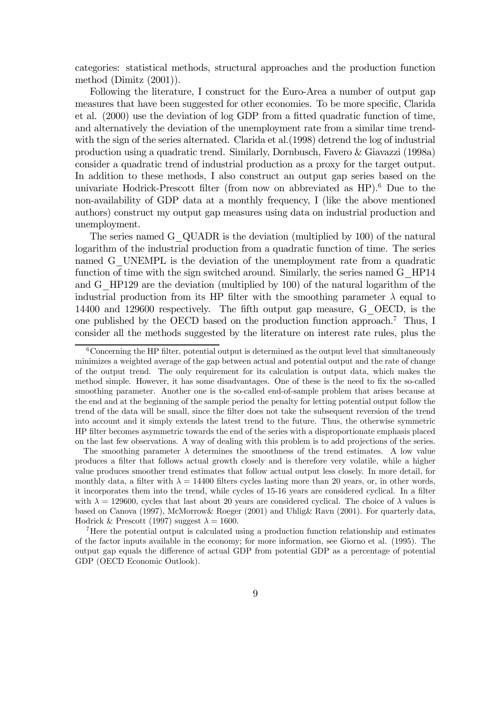categories: statistical methods, structural approaches and the production function method (Dimitz (2001)).

Following the literature, I construct for the Euro-Area a number of output gap measures that have been suggested for other economies. To be more specific, Clarida et al. (2000) use the deviation of log GDP from a fitted quadratic function of time, and alternatively the deviation of the unemployment rate from a similar time trendwith the sign of the series alternated. Clarida et al.(1998) detrend the log of industrial production using a quadratic trend. Similarly, Dornbusch, Favero & Giavazzi (1998a) consider a quadratic trend of industrial production as a proxy for the target output. In addition to these methods, I also construct an output gap series based on the univariate Hodrick-Prescott filter (from now on abbreviated as HP).6 Due to the non-availability of GDP data at a monthly frequency, I (like the above mentioned authors) construct my output gap measures using data on industrial production and unemployment.

The series named G\_QUADR is the deviation (multiplied by 100) of the natural logarithm of the industrial production from a quadratic function of time. The series named G UNEMPL is the deviation of the unemployment rate from a quadratic function of time with the sign switched around. Similarly, the series named G\_HP14 and G\_HP129 are the deviation (multiplied by 100) of the natural logarithm of the industrial production from its HP filter with the smoothing parameter  $\lambda$  equal to 14400 and 129600 respectively. The fifth output gap measure, G\_OECD, is the one published by the OECD based on the production function approach.7 Thus, I consider all the methods suggested by the literature on interest rate rules, plus the

 $6$ Concerning the HP filter, potential output is determined as the output level that simultaneously minimizes a weighted average of the gap between actual and potential output and the rate of change of the output trend. The only requirement for its calculation is output data, which makes the method simple. However, it has some disadvantages. One of these is the need to fix the so-called smoothing parameter. Another one is the so-called end-of-sample problem that arises because at the end and at the beginning of the sample period the penalty for letting potential output follow the trend of the data will be small, since the filter does not take the subsequent reversion of the trend into account and it simply extends the latest trend to the future. Thus, the otherwise symmetric HP filter becomes asymmetric towards the end of the series with a disproportionate emphasis placed on the last few observations. A way of dealing with this problem is to add projections of the series.

The smoothing parameter  $\lambda$  determines the smoothness of the trend estimates. A low value produces a filter that follows actual growth closely and is therefore very volatile, while a higher value produces smoother trend estimates that follow actual output less closely. In more detail, for monthly data, a filter with  $\lambda = 14400$  filters cycles lasting more than 20 years, or, in other words, it incorporates them into the trend, while cycles of 15-16 years are considered cyclical. In a filter with  $\lambda = 129600$ , cycles that last about 20 years are considered cyclical. The choice of  $\lambda$  values is based on Canova (1997), McMorrow& Roeger (2001) and Uhlig& Ravn (2001). For quarterly data, Hodrick & Prescott (1997) suggest  $\lambda = 1600$ .

<sup>7</sup>Here the potential output is calculated using a production function relationship and estimates of the factor inputs available in the economy; for more information, see Giorno et al. (1995). The output gap equals the difference of actual GDP from potential GDP as a percentage of potential GDP (OECD Economic Outlook).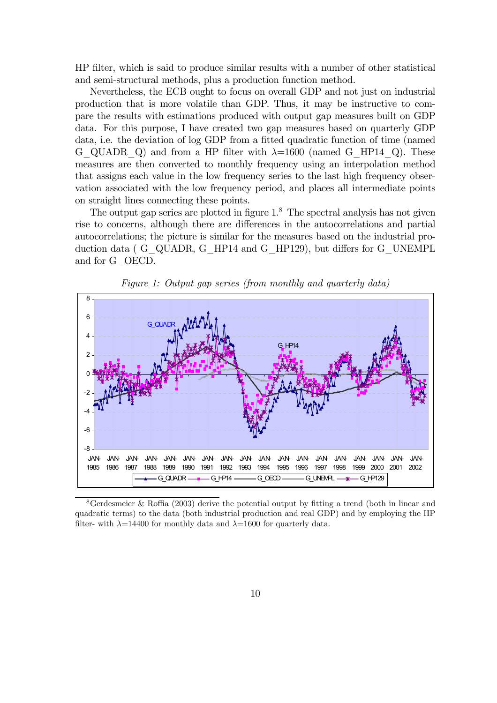HP filter, which is said to produce similar results with a number of other statistical and semi-structural methods, plus a production function method.

Nevertheless, the ECB ought to focus on overall GDP and not just on industrial production that is more volatile than GDP. Thus, it may be instructive to compare the results with estimations produced with output gap measures built on GDP data. For this purpose, I have created two gap measures based on quarterly GDP data, i.e. the deviation of log GDP from a fitted quadratic function of time (named G\_QUADR\_Q) and from a HP filter with  $\lambda=1600$  (named G\_HP14\_Q). These measures are then converted to monthly frequency using an interpolation method that assigns each value in the low frequency series to the last high frequency observation associated with the low frequency period, and places all intermediate points on straight lines connecting these points.

The output gap series are plotted in figure  $1<sup>8</sup>$ . The spectral analysis has not given rise to concerns, although there are differences in the autocorrelations and partial autocorrelations; the picture is similar for the measures based on the industrial production data ( G\_QUADR, G\_HP14 and G\_HP129), but differs for G\_UNEMPL and for G\_OECD.



Figure 1: Output gap series (from monthly and quarterly data)

<sup>&</sup>lt;sup>8</sup>Gerdesmeier & Roffia (2003) derive the potential output by fitting a trend (both in linear and quadratic terms) to the data (both industrial production and real GDP) and by employing the HP filter- with  $\lambda = 14400$  for monthly data and  $\lambda = 1600$  for quarterly data.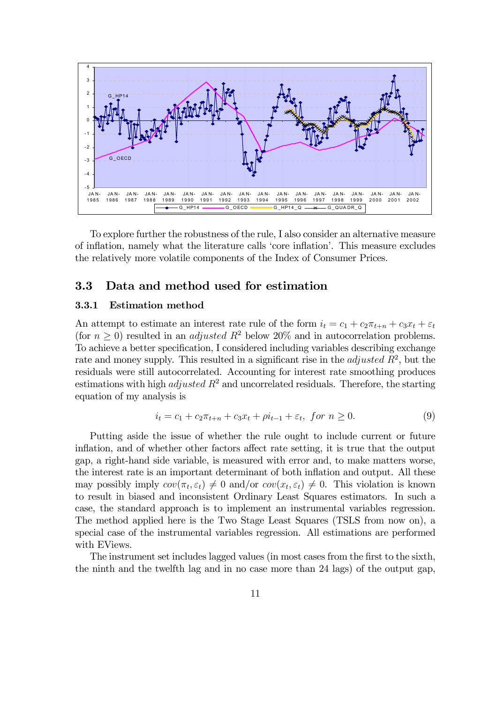

To explore further the robustness of the rule, I also consider an alternative measure of inflation, namely what the literature calls 'core inflation'. This measure excludes the relatively more volatile components of the Index of Consumer Prices.

#### 3.3 Data and method used for estimation

#### 3.3.1 Estimation method

An attempt to estimate an interest rate rule of the form  $i_t = c_1 + c_2\pi_{t+n} + c_3x_t + \varepsilon_t$ (for  $n > 0$ ) resulted in an *adjusted*  $R^2$  below 20% and in autocorrelation problems. To achieve a better specification, I considered including variables describing exchange rate and money supply. This resulted in a significant rise in the *adjusted*  $R^2$ , but the residuals were still autocorrelated. Accounting for interest rate smoothing produces estimations with high *adjusted*  $R^2$  and uncorrelated residuals. Therefore, the starting equation of my analysis is

$$
i_t = c_1 + c_2 \pi_{t+n} + c_3 x_t + \rho i_{t-1} + \varepsilon_t, \text{ for } n \ge 0.
$$
 (9)

Putting aside the issue of whether the rule ought to include current or future inflation, and of whether other factors affect rate setting, it is true that the output gap, a right-hand side variable, is measured with error and, to make matters worse, the interest rate is an important determinant of both inflation and output. All these may possibly imply  $cov(\pi_t, \varepsilon_t) \neq 0$  and/or  $cov(x_t, \varepsilon_t) \neq 0$ . This violation is known to result in biased and inconsistent Ordinary Least Squares estimators. In such a case, the standard approach is to implement an instrumental variables regression. The method applied here is the Two Stage Least Squares (TSLS from now on), a special case of the instrumental variables regression. All estimations are performed with EViews.

The instrument set includes lagged values (in most cases from the first to the sixth, the ninth and the twelfth lag and in no case more than 24 lags) of the output gap,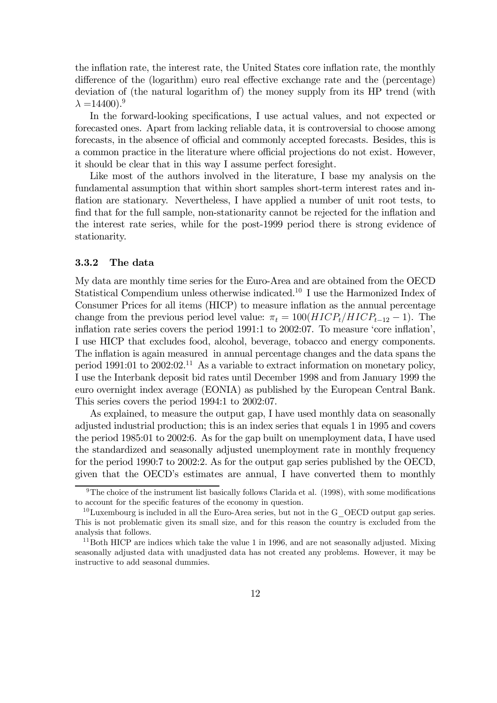the inflation rate, the interest rate, the United States core inflation rate, the monthly difference of the (logarithm) euro real effective exchange rate and the (percentage) deviation of (the natural logarithm of) the money supply from its HP trend (with  $\lambda = 14400$ ).<sup>9</sup>

In the forward-looking specifications, I use actual values, and not expected or forecasted ones. Apart from lacking reliable data, it is controversial to choose among forecasts, in the absence of official and commonly accepted forecasts. Besides, this is a common practice in the literature where official projections do not exist. However, it should be clear that in this way I assume perfect foresight.

Like most of the authors involved in the literature, I base my analysis on the fundamental assumption that within short samples short-term interest rates and inflation are stationary. Nevertheless, I have applied a number of unit root tests, to find that for the full sample, non-stationarity cannot be rejected for the inflation and the interest rate series, while for the post-1999 period there is strong evidence of stationarity.

#### 3.3.2 The data

My data are monthly time series for the Euro-Area and are obtained from the OECD Statistical Compendium unless otherwise indicated.<sup>10</sup> I use the Harmonized Index of Consumer Prices for all items (HICP) to measure inflation as the annual percentage change from the previous period level value:  $\pi_t = 100(HICP_t/HICP_{t-12} - 1)$ . The inflation rate series covers the period 1991:1 to 2002:07. To measure 'core inflation', I use HICP that excludes food, alcohol, beverage, tobacco and energy components. The inflation is again measured in annual percentage changes and the data spans the period 1991:01 to 2002:02.<sup>11</sup> As a variable to extract information on monetary policy, I use the Interbank deposit bid rates until December 1998 and from January 1999 the euro overnight index average (EONIA) as published by the European Central Bank. This series covers the period 1994:1 to 2002:07.

As explained, to measure the output gap, I have used monthly data on seasonally adjusted industrial production; this is an index series that equals 1 in 1995 and covers the period 1985:01 to 2002:6. As for the gap built on unemployment data, I have used the standardized and seasonally adjusted unemployment rate in monthly frequency for the period 1990:7 to 2002:2. As for the output gap series published by the OECD, given that the OECD's estimates are annual, I have converted them to monthly

<sup>9</sup>The choice of the instrument list basically follows Clarida et al. (1998), with some modifications to account for the specific features of the economy in question.

 $10$ Luxembourg is included in all the Euro-Area series, but not in the G\_OECD output gap series. This is not problematic given its small size, and for this reason the country is excluded from the analysis that follows.

 $11$ Both HICP are indices which take the value 1 in 1996, and are not seasonally adjusted. Mixing seasonally adjusted data with unadjusted data has not created any problems. However, it may be instructive to add seasonal dummies.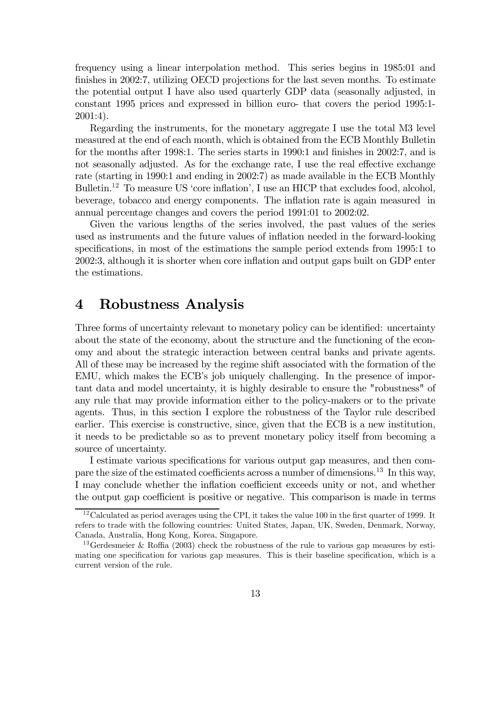frequency using a linear interpolation method. This series begins in 1985:01 and finishes in 2002:7, utilizing OECD projections for the last seven months. To estimate the potential output I have also used quarterly GDP data (seasonally adjusted, in constant 1995 prices and expressed in billion euro- that covers the period 1995:1- 2001:4).

Regarding the instruments, for the monetary aggregate I use the total M3 level measured at the end of each month, which is obtained from the ECB Monthly Bulletin for the months after 1998:1. The series starts in 1990:1 and finishes in 2002:7, and is not seasonally adjusted. As for the exchange rate, I use the real effective exchange rate (starting in 1990:1 and ending in 2002:7) as made available in the ECB Monthly Bulletin.<sup>12</sup> To measure US 'core inflation', I use an HICP that excludes food, alcohol, beverage, tobacco and energy components. The inflation rate is again measured in annual percentage changes and covers the period 1991:01 to 2002:02.

Given the various lengths of the series involved, the past values of the series used as instruments and the future values of inflation needed in the forward-looking specifications, in most of the estimations the sample period extends from 1995:1 to 2002:3, although it is shorter when core inflation and output gaps built on GDP enter the estimations.

### 4 Robustness Analysis

Three forms of uncertainty relevant to monetary policy can be identified: uncertainty about the state of the economy, about the structure and the functioning of the economy and about the strategic interaction between central banks and private agents. All of these may be increased by the regime shift associated with the formation of the EMU, which makes the ECB's job uniquely challenging. In the presence of important data and model uncertainty, it is highly desirable to ensure the "robustness" of any rule that may provide information either to the policy-makers or to the private agents. Thus, in this section I explore the robustness of the Taylor rule described earlier. This exercise is constructive, since, given that the ECB is a new institution, it needs to be predictable so as to prevent monetary policy itself from becoming a source of uncertainty.

I estimate various specifications for various output gap measures, and then compare the size of the estimated coefficients across a number of dimensions.<sup>13</sup> In this way, I may conclude whether the inflation coefficient exceeds unity or not, and whether the output gap coefficient is positive or negative. This comparison is made in terms

 $12$ Calculated as period averages using the CPI, it takes the value 100 in the first quarter of 1999. It refers to trade with the following countries: United States, Japan, UK, Sweden, Denmark, Norway, Canada, Australia, Hong Kong, Korea, Singapore.

<sup>&</sup>lt;sup>13</sup> Gerdesmeier & Roffia (2003) check the robustness of the rule to various gap measures by estimating one specification for various gap measures. This is their baseline specification, which is a current version of the rule.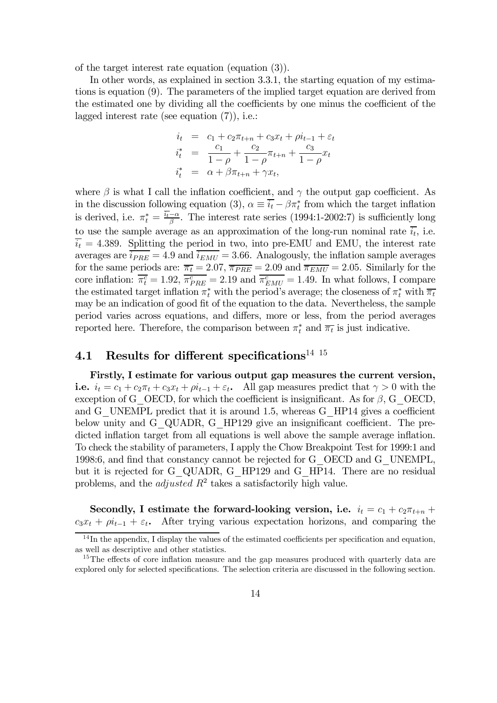of the target interest rate equation (equation (3)).

In other words, as explained in section 3.3.1, the starting equation of my estimations is equation (9). The parameters of the implied target equation are derived from the estimated one by dividing all the coefficients by one minus the coefficient of the lagged interest rate (see equation (7)), i.e.:

$$
i_t = c_1 + c_2 \pi_{t+n} + c_3 x_t + \rho i_{t-1} + \varepsilon_t
$$
  
\n
$$
i_t^* = \frac{c_1}{1 - \rho} + \frac{c_2}{1 - \rho} \pi_{t+n} + \frac{c_3}{1 - \rho} x_t
$$
  
\n
$$
i_t^* = \alpha + \beta \pi_{t+n} + \gamma x_t,
$$

where  $\beta$  is what I call the inflation coefficient, and  $\gamma$  the output gap coefficient. As in the discussion following equation (3),  $\alpha \equiv \overline{i_t} - \beta \pi_t^*$  from which the target inflation is derived, i.e.  $\pi_t^* = \frac{i_t - \alpha}{\beta}$ . The interest rate series (1994:1-2002:7) is sufficiently long to use the sample average as an approximation of the long-run nominal rate  $\overline{i_t}$ , i.e.  $\overline{i_t}$  = 4.389. Splitting the period in two, into pre-EMU and EMU, the interest rate averages are  $\overline{i_{PRE}} = 4.9$  and  $\overline{i_{EMU}} = 3.66$ . Analogously, the inflation sample averages for the same periods are:  $\overline{\pi_t} = 2.07$ ,  $\overline{\pi_{PRE}} = 2.09$  and  $\overline{\pi_{EMU}} = 2.05$ . Similarly for the core inflation:  $\overline{\pi_t^c} = 1.92$ ,  $\overline{\pi_{PRE}^c} = 2.19$  and  $\overline{\pi_{EMU}^c} = 1.49$ . In what follows, I compare the estimated target inflation  $\pi_t^*$  with the period's average; the closeness of  $\pi_t^*$  with  $\overline{\pi_t}$ may be an indication of good fit of the equation to the data. Nevertheless, the sample period varies across equations, and differs, more or less, from the period averages reported here. Therefore, the comparison between  $\pi_t^*$  and  $\overline{\pi_t}$  is just indicative.

### 4.1 Results for different specifications<sup>14 15</sup>

Firstly, I estimate for various output gap measures the current version, i.e.  $i_t = c_1 + c_2\pi_t + c_3x_t + \rho i_{t-1} + \varepsilon_t$ . All gap measures predict that  $\gamma > 0$  with the exception of G\_OECD, for which the coefficient is insignificant. As for  $\beta$ , G\_OECD, and G\_UNEMPL predict that it is around 1.5, whereas G\_HP14 gives a coefficient below unity and G\_QUADR, G\_HP129 give an insignificant coefficient. The predicted inflation target from all equations is well above the sample average inflation. To check the stability of parameters, I apply the Chow Breakpoint Test for 1999:1 and 1998:6, and find that constancy cannot be rejected for G\_OECD and G\_UNEMPL, but it is rejected for G\_QUADR, G\_HP129 and G\_HP14. There are no residual problems, and the *adjusted*  $R^2$  takes a satisfactorily high value.

Secondly, I estimate the forward-looking version, i.e.  $i_t = c_1 + c_2\pi_{t+n}$  +  $c_3x_t + \rho i_{t-1} + \varepsilon_t$ . After trying various expectation horizons, and comparing the

 $14$ In the appendix, I display the values of the estimated coefficients per specification and equation, as well as descriptive and other statistics.

<sup>&</sup>lt;sup>15</sup>The effects of core inflation measure and the gap measures produced with quarterly data are explored only for selected specifications. The selection criteria are discussed in the following section.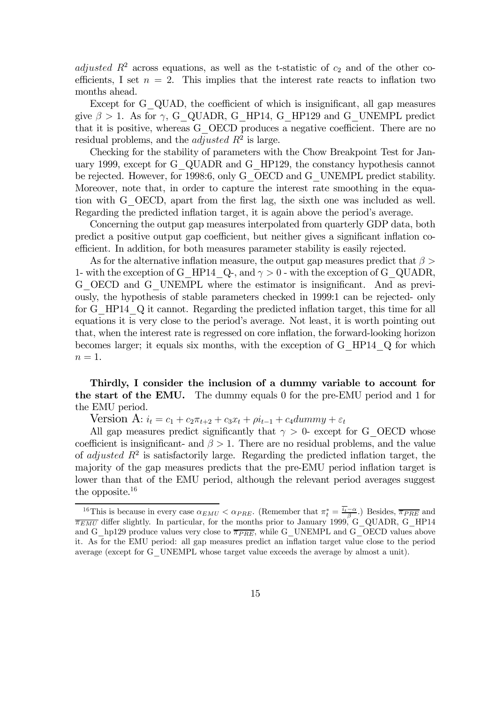adjusted  $R^2$  across equations, as well as the t-statistic of  $c_2$  and of the other coefficients, I set  $n = 2$ . This implies that the interest rate reacts to inflation two months ahead.

Except for G\_QUAD, the coefficient of which is insignificant, all gap measures give  $\beta > 1$ . As for  $\gamma$ , G\_QUADR, G\_HP14, G\_HP129 and G\_UNEMPL predict that it is positive, whereas G\_OECD produces a negative coefficient. There are no residual problems, and the *adjusted*  $R^2$  is large.

Checking for the stability of parameters with the Chow Breakpoint Test for January 1999, except for G\_QUADR and G\_HP129, the constancy hypothesis cannot be rejected. However, for 1998:6, only G\_OECD and G\_UNEMPL predict stability. Moreover, note that, in order to capture the interest rate smoothing in the equation with G\_OECD, apart from the first lag, the sixth one was included as well. Regarding the predicted inflation target, it is again above the period's average.

Concerning the output gap measures interpolated from quarterly GDP data, both predict a positive output gap coefficient, but neither gives a significant inflation coefficient. In addition, for both measures parameter stability is easily rejected.

As for the alternative inflation measure, the output gap measures predict that  $\beta >$ 1- with the exception of G\_HP14\_Q-, and  $\gamma > 0$  - with the exception of G\_QUADR, G\_OECD and G\_UNEMPL where the estimator is insignificant. And as previously, the hypothesis of stable parameters checked in 1999:1 can be rejected- only for G\_HP14\_Q it cannot. Regarding the predicted inflation target, this time for all equations it is very close to the period's average. Not least, it is worth pointing out that, when the interest rate is regressed on core inflation, the forward-looking horizon becomes larger; it equals six months, with the exception of G\_HP14\_Q for which  $n=1$ .

Thirdly, I consider the inclusion of a dummy variable to account for the start of the EMU. The dummy equals 0 for the pre-EMU period and 1 for the EMU period.

Version A:  $i_t = c_1 + c_2 \pi_{t+2} + c_3 x_t + \rho_{t-1} + c_4 d$ ummy +  $\varepsilon_t$ 

All gap measures predict significantly that  $\gamma > 0$ - except for G\_OECD whose coefficient is insignificant- and  $\beta > 1$ . There are no residual problems, and the value of *adjusted*  $R^2$  is satisfactorily large. Regarding the predicted inflation target, the majority of the gap measures predicts that the pre-EMU period inflation target is lower than that of the EMU period, although the relevant period averages suggest the opposite.16

<sup>&</sup>lt;sup>16</sup>This is because in every case  $\alpha_{EMU} < \alpha_{PRE}$ . (Remember that  $\pi_t^* = \frac{i_t - \alpha}{\beta}$ .) Besides,  $\overline{\pi_{PRE}}$  and  $\overline{\pi_{EMU}}$  differ slightly. In particular, for the months prior to January 1999, G\_QUADR, G\_HP14 and G\_hp129 produce values very close to  $\overline{\pi_{PRE}}$ , while G\_UNEMPL and G\_OECD values above it. As for the EMU period: all gap measures predict an inflation target value close to the period average (except for G\_UNEMPL whose target value exceeds the average by almost a unit).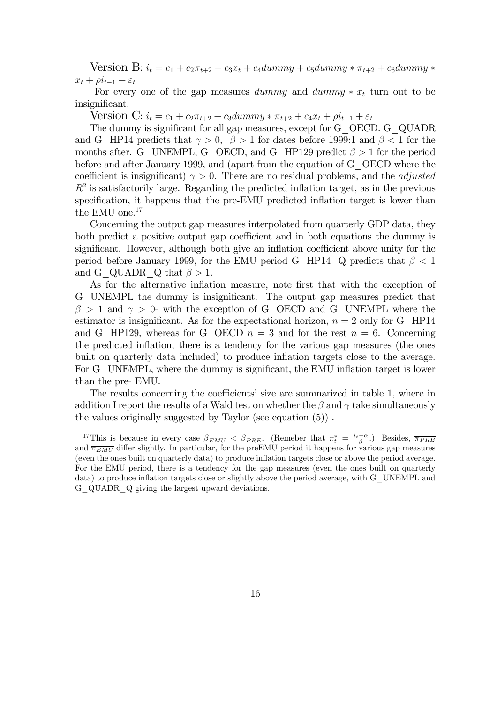Version B:  $i_t = c_1 + c_2\pi_{t+2} + c_3x_t + c_4dummy + c_5dummy * \pi_{t+2} + c_6dummy *$  $x_t + \rho i_{t-1} + \varepsilon_t$ 

For every one of the gap measures dummy and dummy  $*x_t$  turn out to be insignificant.

Version C:  $i_t = c_1 + c_2 \pi_{t+2} + c_3 \text{dummy} * \pi_{t+2} + c_4 x_t + \rho i_{t-1} + \varepsilon_t$ 

The dummy is significant for all gap measures, except for G\_OECD. G\_QUADR and G\_HP14 predicts that  $\gamma > 0$ ,  $\beta > 1$  for dates before 1999:1 and  $\beta < 1$  for the months after. G\_UNEMPL, G\_OECD, and G\_HP129 predict  $\beta > 1$  for the period before and after January 1999, and (apart from the equation of G\_OECD where the coefficient is insignificant)  $\gamma > 0$ . There are no residual problems, and the *adjusted*  $R<sup>2</sup>$  is satisfactorily large. Regarding the predicted inflation target, as in the previous specification, it happens that the pre-EMU predicted inflation target is lower than the EMU one.<sup>17</sup>

Concerning the output gap measures interpolated from quarterly GDP data, they both predict a positive output gap coefficient and in both equations the dummy is significant. However, although both give an inflation coefficient above unity for the period before January 1999, for the EMU period G\_HP14\_Q predicts that  $\beta < 1$ and G\_QUADR  $Q$  that  $\beta > 1$ .

As for the alternative inflation measure, note first that with the exception of G\_UNEMPL the dummy is insignificant. The output gap measures predict that  $\beta > 1$  and  $\gamma > 0$ - with the exception of G\_OECD and G\_UNEMPL where the estimator is insignificant. As for the expectational horizon,  $n = 2$  only for G\_HP14 and G\_HP129, whereas for G\_OECD  $n = 3$  and for the rest  $n = 6$ . Concerning the predicted inflation, there is a tendency for the various gap measures (the ones built on quarterly data included) to produce inflation targets close to the average. For G\_UNEMPL, where the dummy is significant, the EMU inflation target is lower than the pre- EMU.

The results concerning the coefficients' size are summarized in table 1, where in addition I report the results of a Wald test on whether the  $\beta$  and  $\gamma$  take simultaneously the values originally suggested by Taylor (see equation (5)) .

<sup>&</sup>lt;sup>17</sup>This is because in every case  $\beta_{EMU} < \beta_{PRE}$ . (Remeber that  $\pi_t^* = \frac{i_t - \alpha}{\beta}$ .) Besides,  $\overline{\pi_{PRE}}$ and  $\overline{\pi_{EMU}}$  differ slightly. In particular, for the preEMU period it happens for various gap measures (even the ones built on quarterly data) to produce inflation targets close or above the period average. For the EMU period, there is a tendency for the gap measures (even the ones built on quarterly data) to produce inflation targets close or slightly above the period average, with G\_UNEMPL and G\_QUADR\_Q giving the largest upward deviations.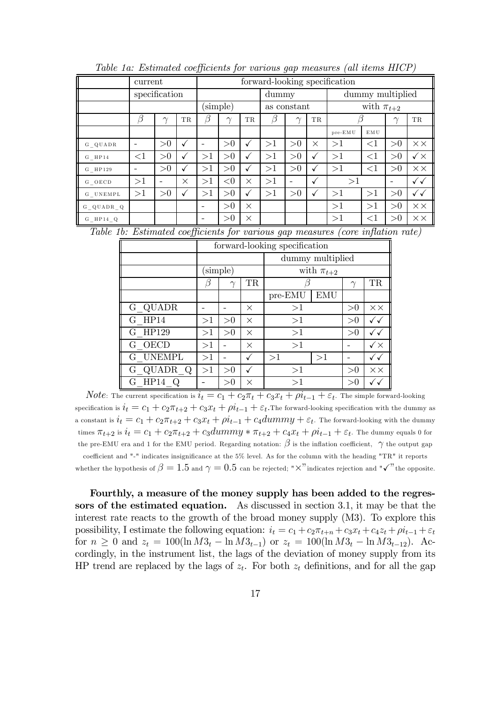|              | current                  |               |              |                          |          |              | forward-looking specification |             |                  |         |                  |                          |                       |
|--------------|--------------------------|---------------|--------------|--------------------------|----------|--------------|-------------------------------|-------------|------------------|---------|------------------|--------------------------|-----------------------|
|              |                          | specification |              |                          | dummy    |              |                               |             | dummy multiplied |         |                  |                          |                       |
|              |                          |               |              |                          | (simple) |              |                               | as constant |                  |         | with $\pi_{t+2}$ |                          |                       |
|              | β                        | $\sim$        | TR.          | В                        | $\sim$   | TR           | β                             | $\sim$      | TR               |         |                  | $\sim$                   | <b>TR</b>             |
|              |                          |               |              |                          |          |              |                               |             |                  | pre-EMU | EMU              |                          |                       |
| G QUADR      | $\overline{\phantom{0}}$ | >0            | $\checkmark$ | $\overline{\phantom{0}}$ | >0       | ✓            | >1                            | >0          | X                | >1      | $<$ 1            | >0                       | $\times\times$        |
| $G$ HP14     | $\leq$ 1                 | >0            | $\checkmark$ | >1                       | >0       | $\checkmark$ | >1                            | >0          | ✓                | >1      | $\leq$ 1         | >0                       | $\checkmark$ $\times$ |
| G HP129      | $\overline{\phantom{0}}$ | >0            | $\checkmark$ | >1                       | >0       | √            | >1                            | >0          | ✓                | >1      | $\leq$ 1         | >0                       | $\times\times$        |
| G OECD       | >1                       |               | $\times$     | >1                       | < 0      | X            | >1                            |             | √                | >1      |                  | $\overline{\phantom{0}}$ | ✓✓                    |
| G UNEMPL     | >1                       | >0            | $\checkmark$ | >1                       | >0       | √            | >1                            | >0          | ✓                | >1      | >1               | >0                       | ✓✓                    |
| G QUADR Q    |                          |               |              | $\overline{\phantom{0}}$ | >0       | $\times$     |                               |             |                  | >1      | >1               | >0                       | $\times\times$        |
| $G$ HP14 $Q$ |                          |               |              | $\overline{\phantom{0}}$ | >0       | $\times$     |                               |             |                  | >1      | $<$ 1            | >0                       | $\times\times$        |

Table 1a: Estimated coefficients for various gap measures (all items HICP)

Table 1b: Estimated coefficients for various gap measures (core inflation rate)

|           | forward-looking specification |          |           |                  |    |                |                       |  |  |
|-----------|-------------------------------|----------|-----------|------------------|----|----------------|-----------------------|--|--|
|           |                               |          |           | dummy multiplied |    |                |                       |  |  |
|           |                               | (simple) |           | with $\pi_{t+2}$ |    |                |                       |  |  |
|           |                               |          | <b>TR</b> |                  |    | $\gamma$       | <b>TR</b>             |  |  |
|           |                               |          |           | EMU<br>pre-EMU   |    |                |                       |  |  |
| G QUADR   |                               |          | X         | >1               | >0 | $\times\times$ |                       |  |  |
| $G$ HP14  | >1                            | >0       | $\times$  | >1               |    | >0             | ✓✓                    |  |  |
| G HP129   | >1                            | >0       | X         | >1               |    | >0             |                       |  |  |
| G OECD    | >1                            |          | $\times$  | >1               |    |                | $\checkmark$ $\times$ |  |  |
| G UNEMPL  | >1                            |          |           | >1               |    | ✓✓             |                       |  |  |
| G QUADR Q | >1                            | >0       |           | >1               | >0 | $\times\times$ |                       |  |  |
| HP14<br>G |                               | >0       | $\times$  | >1               |    | >0             |                       |  |  |

*Note*: The current specification is  $i_t = c_1 + c_2\pi_t + c_3x_t + \rho i_{t-1} + \varepsilon_t$ . The simple forward-looking specification is  $i_t = c_1 + c_2\pi_{t+2} + c_3x_t + \rho i_{t-1} + \varepsilon_t$ . The forward-looking specification with the dummy as a constant is  $i_t = c_1 + c_2\pi_{t+2} + c_3x_t + \rho i_{t-1} + c_4dummy + \varepsilon_t$ . The forward-looking with the dummy times  $\pi_{t+2}$  is  $i_t = c_1 + c_2\pi_{t+2} + c_3dummy * \pi_{t+2} + c_4x_t + \rho i_{t-1} + \varepsilon_t$ . The dummy equals 0 for the pre-EMU era and 1 for the EMU period. Regarding notation:  $\beta$  is the inflation coefficient,  $\gamma$  the output gap coefficient and "-" indicates insignificance at the 5% level. As for the column with the heading "TR" it reports whether the hypothesis of  $\beta = 1.5$  and  $\gamma = 0.5$  can be rejected; "X" indicates rejection and " $\checkmark$ " the opposite.

Fourthly, a measure of the money supply has been added to the regressors of the estimated equation. As discussed in section 3.1, it may be that the interest rate reacts to the growth of the broad money supply (M3). To explore this possibility, I estimate the following equation:  $i_t = c_1 + c_2\pi_{t+n} + c_3x_t + c_4z_t + \rho i_{t-1} + \varepsilon_t$ for  $n \geq 0$  and  $z_t = 100(\ln M3_t - \ln M3_{t-1})$  or  $z_t = 100(\ln M3_t - \ln M3_{t-12})$ . Accordingly, in the instrument list, the lags of the deviation of money supply from its HP trend are replaced by the lags of  $z_t$ . For both  $z_t$  definitions, and for all the gap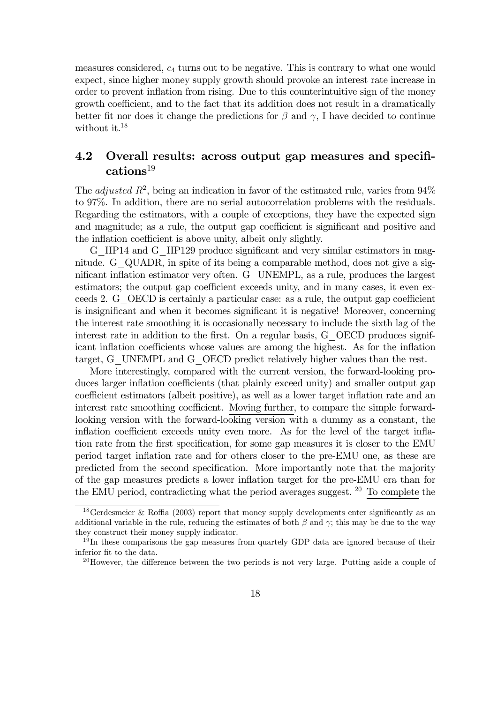measures considered, c<sup>4</sup> turns out to be negative. This is contrary to what one would expect, since higher money supply growth should provoke an interest rate increase in order to prevent inflation from rising. Due to this counterintuitive sign of the money growth coefficient, and to the fact that its addition does not result in a dramatically better fit nor does it change the predictions for  $\beta$  and  $\gamma$ , I have decided to continue without it.<sup>18</sup>

#### 4.2 Overall results: across output gap measures and specifications $^{19}$

The *adjusted*  $R^2$ , being an indication in favor of the estimated rule, varies from  $94\%$ to 97%. In addition, there are no serial autocorrelation problems with the residuals. Regarding the estimators, with a couple of exceptions, they have the expected sign and magnitude; as a rule, the output gap coefficient is significant and positive and the inflation coefficient is above unity, albeit only slightly.

G\_HP14 and G\_HP129 produce significant and very similar estimators in magnitude. G\_QUADR, in spite of its being a comparable method, does not give a significant inflation estimator very often. G\_UNEMPL, as a rule, produces the largest estimators; the output gap coefficient exceeds unity, and in many cases, it even exceeds 2. G\_OECD is certainly a particular case: as a rule, the output gap coefficient is insignificant and when it becomes significant it is negative! Moreover, concerning the interest rate smoothing it is occasionally necessary to include the sixth lag of the interest rate in addition to the first. On a regular basis, G\_OECD produces significant inflation coefficients whose values are among the highest. As for the inflation target, G\_UNEMPL and G\_OECD predict relatively higher values than the rest.

More interestingly, compared with the current version, the forward-looking produces larger inflation coefficients (that plainly exceed unity) and smaller output gap coefficient estimators (albeit positive), as well as a lower target inflation rate and an interest rate smoothing coefficient. Moving further, to compare the simple forwardlooking version with the forward-looking version with a dummy as a constant, the inflation coefficient exceeds unity even more. As for the level of the target inflation rate from the first specification, for some gap measures it is closer to the EMU period target inflation rate and for others closer to the pre-EMU one, as these are predicted from the second specification. More importantly note that the majority of the gap measures predicts a lower inflation target for the pre-EMU era than for the EMU period, contradicting what the period averages suggest.  $20$  To complete the

<sup>&</sup>lt;sup>18</sup>Gerdesmeier & Roffia (2003) report that money supply developments enter significantly as an additional variable in the rule, reducing the estimates of both  $\beta$  and  $\gamma$ ; this may be due to the way they construct their money supply indicator.

<sup>&</sup>lt;sup>19</sup>In these comparisons the gap measures from quartely GDP data are ignored because of their inferior fit to the data.

<sup>&</sup>lt;sup>20</sup>However, the difference between the two periods is not very large. Putting aside a couple of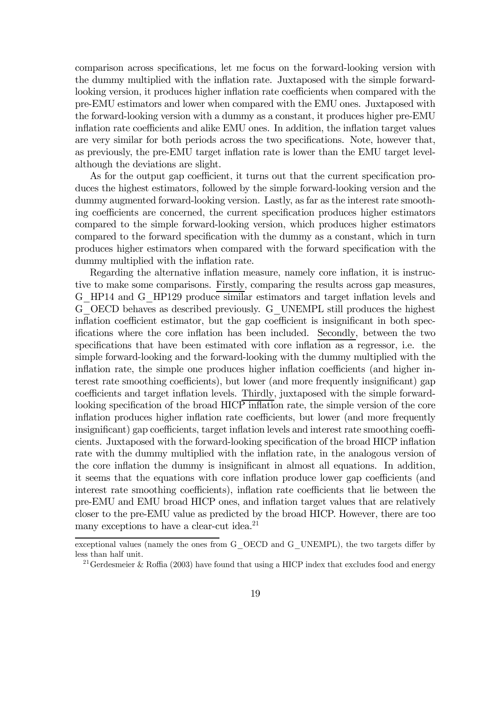comparison across specifications, let me focus on the forward-looking version with the dummy multiplied with the inflation rate. Juxtaposed with the simple forwardlooking version, it produces higher inflation rate coefficients when compared with the pre-EMU estimators and lower when compared with the EMU ones. Juxtaposed with the forward-looking version with a dummy as a constant, it produces higher pre-EMU inflation rate coefficients and alike EMU ones. In addition, the inflation target values are very similar for both periods across the two specifications. Note, however that, as previously, the pre-EMU target inflation rate is lower than the EMU target levelalthough the deviations are slight.

As for the output gap coefficient, it turns out that the current specification produces the highest estimators, followed by the simple forward-looking version and the dummy augmented forward-looking version. Lastly, as far as the interest rate smoothing coefficients are concerned, the current specification produces higher estimators compared to the simple forward-looking version, which produces higher estimators compared to the forward specification with the dummy as a constant, which in turn produces higher estimators when compared with the forward specification with the dummy multiplied with the inflation rate.

Regarding the alternative inflation measure, namely core inflation, it is instructive to make some comparisons. Firstly, comparing the results across gap measures, G\_HP14 and G\_HP129 produce similar estimators and target inflation levels and G\_OECD behaves as described previously. G\_UNEMPL still produces the highest inflation coefficient estimator, but the gap coefficient is insignificant in both specifications where the core inflation has been included. Secondly, between the two specifications that have been estimated with core inflation as a regressor, i.e. the simple forward-looking and the forward-looking with the dummy multiplied with the inflation rate, the simple one produces higher inflation coefficients (and higher interest rate smoothing coefficients), but lower (and more frequently insignificant) gap coefficients and target inflation levels. Thirdly, juxtaposed with the simple forwardlooking specification of the broad HICP inflation rate, the simple version of the core inflation produces higher inflation rate coefficients, but lower (and more frequently insignificant) gap coefficients, target inflation levels and interest rate smoothing coefficients. Juxtaposed with the forward-looking specification of the broad HICP inflation rate with the dummy multiplied with the inflation rate, in the analogous version of the core inflation the dummy is insignificant in almost all equations. In addition, it seems that the equations with core inflation produce lower gap coefficients (and interest rate smoothing coefficients), inflation rate coefficients that lie between the pre-EMU and EMU broad HICP ones, and inflation target values that are relatively closer to the pre-EMU value as predicted by the broad HICP. However, there are too many exceptions to have a clear-cut idea.<sup>21</sup>

exceptional values (namely the ones from G\_OECD and G\_UNEMPL), the two targets differ by less than half unit.

<sup>&</sup>lt;sup>21</sup> Gerdesmeier & Roffia (2003) have found that using a HICP index that excludes food and energy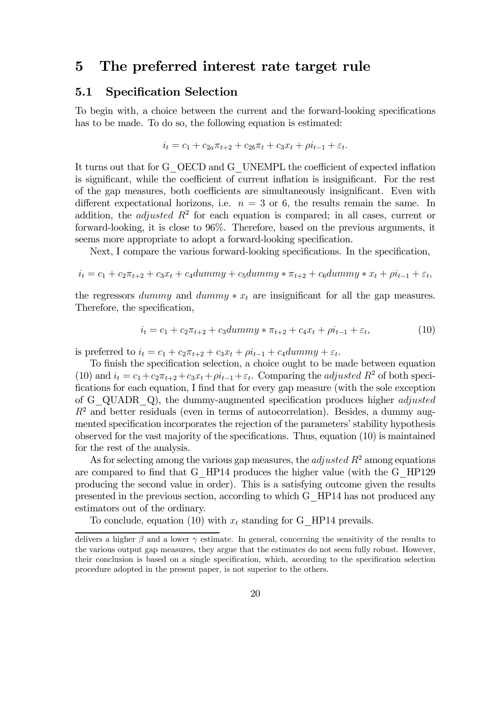### 5 The preferred interest rate target rule

#### 5.1 Specification Selection

To begin with, a choice between the current and the forward-looking specifications has to be made. To do so, the following equation is estimated:

$$
i_t = c_1 + c_{2a}\pi_{t+2} + c_{2b}\pi_t + c_3x_t + \rho i_{t-1} + \varepsilon_t.
$$

It turns out that for G\_OECD and G\_UNEMPL the coefficient of expected inflation is significant, while the coefficient of current inflation is insignificant. For the rest of the gap measures, both coefficients are simultaneously insignificant. Even with different expectational horizons, i.e.  $n = 3$  or 6, the results remain the same. In addition, the *adjusted*  $R^2$  for each equation is compared; in all cases, current or forward-looking, it is close to 96%. Therefore, based on the previous arguments, it seems more appropriate to adopt a forward-looking specification.

Next, I compare the various forward-looking specifications. In the specification,

$$
i_t = c_1 + c_2 \pi_{t+2} + c_3 x_t + c_4 dummy + c_5 dummy * \pi_{t+2} + c_6 dummy * x_t + \rho i_{t-1} + \varepsilon_t,
$$

the regressors dummy and dummy  $*x_t$  are insignificant for all the gap measures. Therefore, the specification,

$$
i_t = c_1 + c_2 \pi_{t+2} + c_3 dummy * \pi_{t+2} + c_4 x_t + \rho i_{t-1} + \varepsilon_t,
$$
\n(10)

is preferred to  $i_t = c_1 + c_2\pi_{t+2} + c_3x_t + \rho i_{t-1} + c_4dumm_y + \varepsilon_t$ .

To finish the specification selection, a choice ought to be made between equation (10) and  $i_t = c_1+c_2\pi_{t+2}+c_3x_t+\rho i_{t-1}+\varepsilon_t$ . Comparing the *adjusted*  $R^2$  of both specifications for each equation, I find that for every gap measure (with the sole exception of G QUADR Q), the dummy-augmented specification produces higher *adjusted*  $R<sup>2</sup>$  and better residuals (even in terms of autocorrelation). Besides, a dummy augmented specification incorporates the rejection of the parameters' stability hypothesis observed for the vast majority of the specifications. Thus, equation (10) is maintained for the rest of the analysis.

As for selecting among the various gap measures, the *adjusted*  $R^2$  among equations are compared to find that G\_HP14 produces the higher value (with the G\_HP129 producing the second value in order). This is a satisfying outcome given the results presented in the previous section, according to which G\_HP14 has not produced any estimators out of the ordinary.

To conclude, equation (10) with  $x_t$  standing for G\_HP14 prevails.

delivers a higher  $\beta$  and a lower  $\gamma$  estimate. In general, concerning the sensitivity of the results to the various output gap measures, they argue that the estimates do not seem fully robust. However, their conclusion is based on a single specification, which, according to the specification selection procedure adopted in the present paper, is not superior to the others.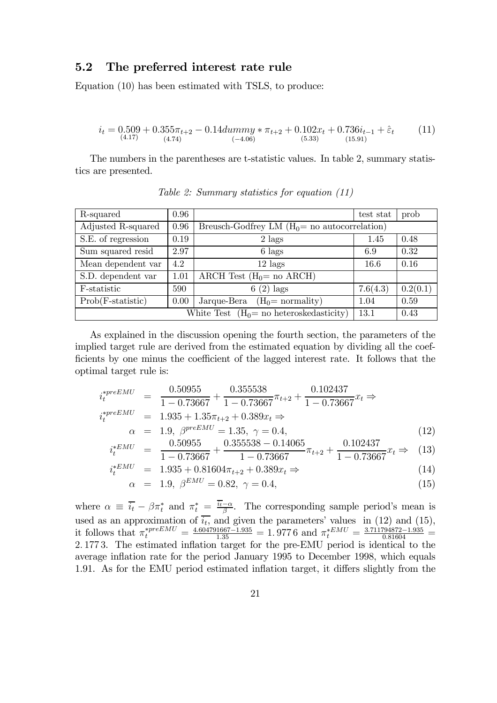#### 5.2 The preferred interest rate rule

Equation (10) has been estimated with TSLS, to produce:

$$
i_t = 0.509 + 0.355\pi_{t+2} - 0.14dummy * \pi_{t+2} + 0.102x_t + 0.736i_{t-1} + \hat{\varepsilon}_t
$$
\n
$$
^{(4.17)}_{(4.17)} \quad (4.74)
$$
\n
$$
^{(4.18)}
$$
\n
$$
^{(4.19)}
$$
\n
$$
^{(4.10)}
$$
\n
$$
^{(4.10)}
$$
\n
$$
^{(4.11)}
$$

The numbers in the parentheses are t-statistic values. In table 2, summary statistics are presented.

| R-squared           | 0.96 |                                                    | test stat | prob     |
|---------------------|------|----------------------------------------------------|-----------|----------|
| Adjusted R-squared  | 0.96 | Breusch-Godfrey LM $(H_0 = no$ autocorrelation)    |           |          |
| S.E. of regression  | 0.19 | $2$ lags                                           | 1.45      | 0.48     |
| Sum squared resid   | 2.97 | 6 lags                                             | 6.9       | 0.32     |
| Mean dependent var  | 4.2  | $12$ lags                                          | 16.6      | 0.16     |
| S.D. dependent var  | 1.01 | ARCH Test $(H_0 = no \text{ ARCH})$                |           |          |
| F-statistic         | 590  | $(2)$ lags                                         | 7.6(4.3)  | 0.2(0.1) |
| $Prob(F-statistic)$ | 0.00 | Jarque-Bera<br>$(H0=$ normality)                   | 1.04      | 0.59     |
|                     |      | White Test $(H_0 = no \text{ heteroskedasticity})$ | 13.1      | 0.43     |

Table 2: Summary statistics for equation (11)

As explained in the discussion opening the fourth section, the parameters of the implied target rule are derived from the estimated equation by dividing all the coefficients by one minus the coefficient of the lagged interest rate. It follows that the optimal target rule is:

$$
i_t^{*preEMU} = \frac{0.50955}{1 - 0.73667} + \frac{0.355538}{1 - 0.73667} \pi_{t+2} + \frac{0.102437}{1 - 0.73667} x_t \Rightarrow
$$
  
\n
$$
i_t^{*preEMU} = 1.935 + 1.35\pi_{t+2} + 0.389x_t \Rightarrow
$$
  
\n
$$
\alpha = 1.9, \ \beta^{preEMU} = 1.35, \ \gamma = 0.4,
$$
  
\n
$$
i_t^{*EMU} = \frac{0.50955}{1 - 0.73667} + \frac{0.355538 - 0.14065}{1 - 0.73667} \pi_{t+2} + \frac{0.102437}{1 - 0.73667} x_t \Rightarrow (13)
$$
  
\n
$$
i_t^{*EMU} = 1.935 + 0.81604\pi_{t+2} + 0.389x_t \Rightarrow (14)
$$

$$
\alpha = 1.9, \ \beta^{EMU} = 0.82, \ \gamma = 0.4,\tag{15}
$$

where  $\alpha \equiv \overline{i_t} - \beta \pi_t^*$  and  $\pi_t^* = \frac{\overline{i_t} - \alpha}{\beta}$ . The corresponding sample period's mean is used as an approximation of  $\overline{i_t}$ , and given the parameters' values in (12) and (15), it follows that  $\pi_t^{*preEMU} = \frac{4.604791667 - 1.935}{1.35} = 1.9776$  and  $\pi_t^{*EMU} = \frac{3.711794872 - 1.935}{0.81604}$ 2. 177 3. The estimated inflation target for the pre-EMU period is identical to the average inflation rate for the period January 1995 to December 1998, which equals 1.91. As for the EMU period estimated inflation target, it differs slightly from the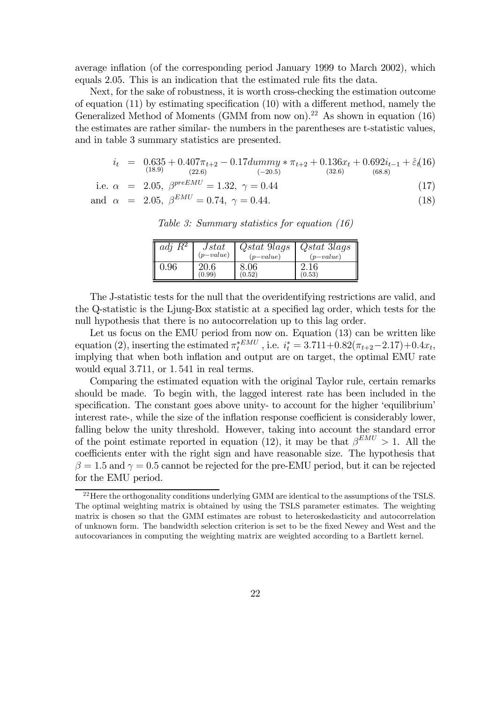average inflation (of the corresponding period January 1999 to March 2002), which equals 2.05. This is an indication that the estimated rule fits the data.

Next, for the sake of robustness, it is worth cross-checking the estimation outcome of equation (11) by estimating specification (10) with a different method, namely the Generalized Method of Moments (GMM from now on).<sup>22</sup> As shown in equation (16) the estimates are rather similar- the numbers in the parentheses are t-statistic values, and in table 3 summary statistics are presented.

$$
i_t = 0.635 + 0.407\pi_{t+2} - 0.17dummy * \pi_{t+2} + 0.136x_t + 0.692i_{t-1} + \hat{\varepsilon}_t(16)
$$
  
\n(18.9)  
\n(18.9)

i.e. 
$$
\alpha = 2.05
$$
,  $\beta^{preEMU} = 1.32$ ,  $\gamma = 0.44$  (17)  
and  $\alpha = 2.05$ ,  $\beta^{EMU} = 0.74$ ,  $\gamma = 0.44$ . (18)

Table 3: Summary statistics for equation (16)

| adj $R^2$ | Jstat       | <i>Ostat</i> 9 <i>lags</i> | Qstat 3lags |
|-----------|-------------|----------------------------|-------------|
|           | $(p-value)$ | $(p-value)$                | $(p-value)$ |
| 0.96      | 20.6        | 8.06                       | 2.16        |
|           | (0.99)      | (0.52)                     | (0.53)      |

The J-statistic tests for the null that the overidentifying restrictions are valid, and the Q-statistic is the Ljung-Box statistic at a specified lag order, which tests for the null hypothesis that there is no autocorrelation up to this lag order.

Let us focus on the EMU period from now on. Equation (13) can be written like equation (2), inserting the estimated  $\pi_t^{*EMU}$ , i.e.  $i_t^* = 3.711 + 0.82(\pi_{t+2} - 2.17) + 0.4x_t$ , implying that when both inflation and output are on target, the optimal EMU rate would equal 3.711, or 1. 541 in real terms.

Comparing the estimated equation with the original Taylor rule, certain remarks should be made. To begin with, the lagged interest rate has been included in the specification. The constant goes above unity- to account for the higher 'equilibrium' interest rate-, while the size of the inflation response coefficient is considerably lower, falling below the unity threshold. However, taking into account the standard error of the point estimate reported in equation (12), it may be that  $\beta^{EMU} > 1$ . All the coefficients enter with the right sign and have reasonable size. The hypothesis that  $\beta = 1.5$  and  $\gamma = 0.5$  cannot be rejected for the pre-EMU period, but it can be rejected for the EMU period.

<sup>&</sup>lt;sup>22</sup>Here the orthogonality conditions underlying GMM are identical to the assumptions of the TSLS. The optimal weighting matrix is obtained by using the TSLS parameter estimates. The weighting matrix is chosen so that the GMM estimates are robust to heteroskedasticity and autocorrelation of unknown form. The bandwidth selection criterion is set to be the fixed Newey and West and the autocovariances in computing the weighting matrix are weighted according to a Bartlett kernel.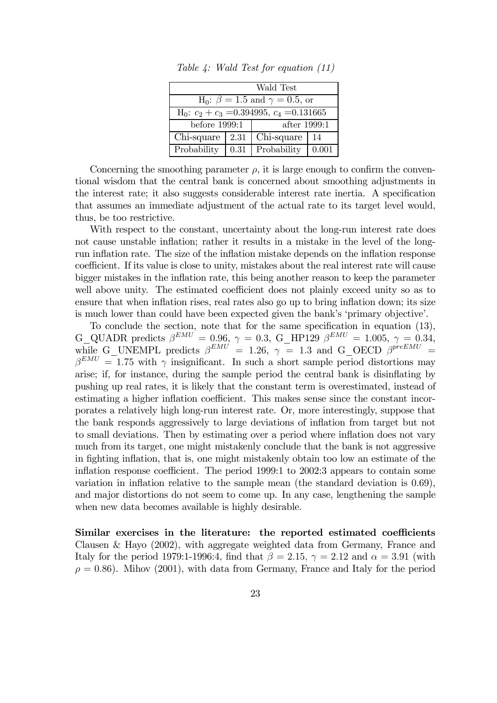| Wald Test                                         |      |              |       |  |  |  |  |  |
|---------------------------------------------------|------|--------------|-------|--|--|--|--|--|
| $H_0$ : $\beta = 1.5$ and $\gamma = 0.5$ , or     |      |              |       |  |  |  |  |  |
| $H_0$ : $c_2 + c_3 = 0.394995$ , $c_4 = 0.131665$ |      |              |       |  |  |  |  |  |
| before 1999:1                                     |      | after 1999:1 |       |  |  |  |  |  |
| Chi-square<br>Chi-square<br>2.31<br>14            |      |              |       |  |  |  |  |  |
| Probability                                       | 0.31 | Probability  | 0.001 |  |  |  |  |  |

Table 4: Wald Test for equation (11)

Concerning the smoothing parameter  $\rho$ , it is large enough to confirm the conventional wisdom that the central bank is concerned about smoothing adjustments in the interest rate; it also suggests considerable interest rate inertia. A specification that assumes an immediate adjustment of the actual rate to its target level would, thus, be too restrictive.

With respect to the constant, uncertainty about the long-run interest rate does not cause unstable inflation; rather it results in a mistake in the level of the longrun inflation rate. The size of the inflation mistake depends on the inflation response coefficient. If its value is close to unity, mistakes about the real interest rate will cause bigger mistakes in the inflation rate, this being another reason to keep the parameter well above unity. The estimated coefficient does not plainly exceed unity so as to ensure that when inflation rises, real rates also go up to bring inflation down; its size is much lower than could have been expected given the bank's 'primary objective'.

To conclude the section, note that for the same specification in equation (13), G\_QUADR predicts  $\beta^{EMU} = 0.96, \gamma = 0.3, G_H$ P129  $\beta^{EMU} = 1.005, \gamma = 0.34,$ while G\_UNEMPL predicts  $\beta^{EMU}$  = 1.26,  $\gamma$  = 1.3 and G\_OECD  $\beta^{preEMU}$  =  $\beta^{EMU} = 1.75$  with  $\gamma$  insignificant. In such a short sample period distortions may arise; if, for instance, during the sample period the central bank is disinflating by pushing up real rates, it is likely that the constant term is overestimated, instead of estimating a higher inflation coefficient. This makes sense since the constant incorporates a relatively high long-run interest rate. Or, more interestingly, suppose that the bank responds aggressively to large deviations of inflation from target but not to small deviations. Then by estimating over a period where inflation does not vary much from its target, one might mistakenly conclude that the bank is not aggressive in fighting inflation, that is, one might mistakenly obtain too low an estimate of the inflation response coefficient. The period 1999:1 to 2002:3 appears to contain some variation in inflation relative to the sample mean (the standard deviation is 0.69), and major distortions do not seem to come up. In any case, lengthening the sample when new data becomes available is highly desirable.

Similar exercises in the literature: the reported estimated coefficients Clausen & Hayo (2002), with aggregate weighted data from Germany, France and Italy for the period 1979:1-1996:4, find that  $\beta = 2.15$ ,  $\gamma = 2.12$  and  $\alpha = 3.91$  (with  $\rho = 0.86$ . Mihov (2001), with data from Germany, France and Italy for the period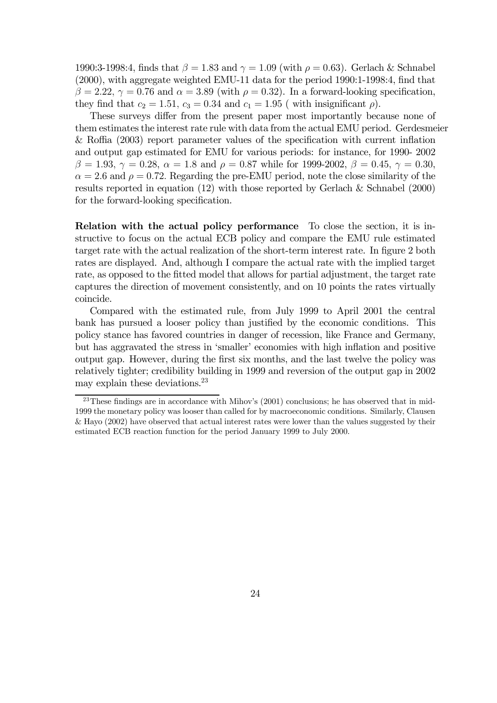1990:3-1998:4, finds that  $\beta = 1.83$  and  $\gamma = 1.09$  (with  $\rho = 0.63$ ). Gerlach & Schnabel (2000), with aggregate weighted EMU-11 data for the period 1990:1-1998:4, find that  $\beta = 2.22$ ,  $\gamma = 0.76$  and  $\alpha = 3.89$  (with  $\rho = 0.32$ ). In a forward-looking specification, they find that  $c_2 = 1.51$ ,  $c_3 = 0.34$  and  $c_1 = 1.95$  (with insignificant  $\rho$ ).

These surveys differ from the present paper most importantly because none of them estimates the interest rate rule with data from the actual EMU period. Gerdesmeier & Roffia (2003) report parameter values of the specification with current inflation and output gap estimated for EMU for various periods: for instance, for 1990- 2002  $β = 1.93, γ = 0.28, α = 1.8$  and  $ρ = 0.87$  while for 1999-2002,  $β = 0.45, γ = 0.30$ ,  $\alpha = 2.6$  and  $\rho = 0.72$ . Regarding the pre-EMU period, note the close similarity of the results reported in equation (12) with those reported by Gerlach & Schnabel (2000) for the forward-looking specification.

Relation with the actual policy performance To close the section, it is instructive to focus on the actual ECB policy and compare the EMU rule estimated target rate with the actual realization of the short-term interest rate. In figure 2 both rates are displayed. And, although I compare the actual rate with the implied target rate, as opposed to the fitted model that allows for partial adjustment, the target rate captures the direction of movement consistently, and on 10 points the rates virtually coincide.

Compared with the estimated rule, from July 1999 to April 2001 the central bank has pursued a looser policy than justified by the economic conditions. This policy stance has favored countries in danger of recession, like France and Germany, but has aggravated the stress in 'smaller' economies with high inflation and positive output gap. However, during the first six months, and the last twelve the policy was relatively tighter; credibility building in 1999 and reversion of the output gap in 2002 may explain these deviations.23

 $23$ These findings are in accordance with Mihov's  $(2001)$  conclusions; he has observed that in mid-1999 the monetary policy was looser than called for by macroeconomic conditions. Similarly, Clausen & Hayo (2002) have observed that actual interest rates were lower than the values suggested by their estimated ECB reaction function for the period January 1999 to July 2000.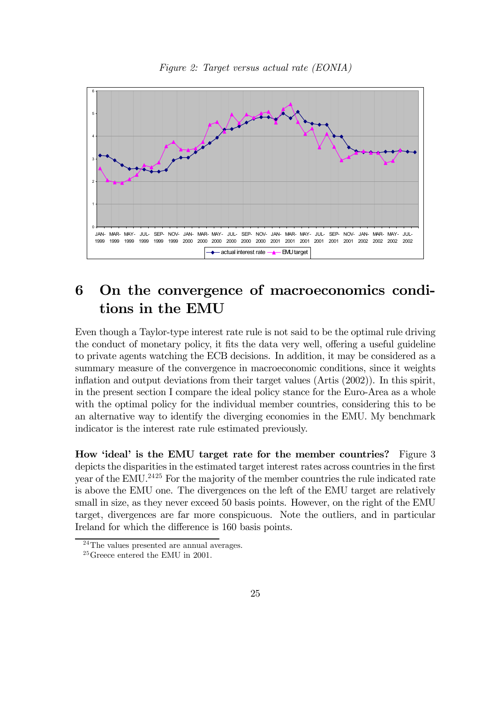

Figure 2: Target versus actual rate (EONIA)

## 6 On the convergence of macroeconomics conditions in the EMU

Even though a Taylor-type interest rate rule is not said to be the optimal rule driving the conduct of monetary policy, it fits the data very well, offering a useful guideline to private agents watching the ECB decisions. In addition, it may be considered as a summary measure of the convergence in macroeconomic conditions, since it weights inflation and output deviations from their target values (Artis (2002)). In this spirit, in the present section I compare the ideal policy stance for the Euro-Area as a whole with the optimal policy for the individual member countries, considering this to be an alternative way to identify the diverging economies in the EMU. My benchmark indicator is the interest rate rule estimated previously.

How 'ideal' is the EMU target rate for the member countries? Figure 3 depicts the disparities in the estimated target interest rates across countries in the first year of the EMU.<sup>2425</sup> For the majority of the member countries the rule indicated rate is above the EMU one. The divergences on the left of the EMU target are relatively small in size, as they never exceed 50 basis points. However, on the right of the EMU target, divergences are far more conspicuous. Note the outliers, and in particular Ireland for which the difference is 160 basis points.

 $^{24}$ The values presented are annual averages.

 $25G$ reece entered the EMU in 2001.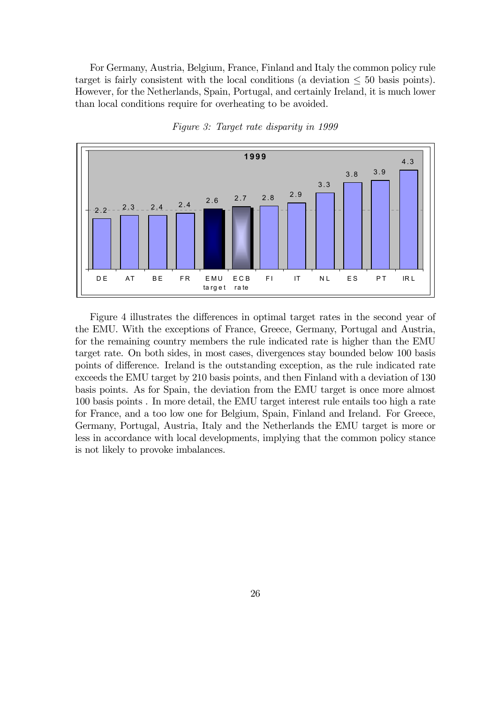For Germany, Austria, Belgium, France, Finland and Italy the common policy rule target is fairly consistent with the local conditions (a deviation  $\leq 50$  basis points). However, for the Netherlands, Spain, Portugal, and certainly Ireland, it is much lower than local conditions require for overheating to be avoided.



Figure 3: Target rate disparity in 1999

Figure 4 illustrates the differences in optimal target rates in the second year of the EMU. With the exceptions of France, Greece, Germany, Portugal and Austria, for the remaining country members the rule indicated rate is higher than the EMU target rate. On both sides, in most cases, divergences stay bounded below 100 basis points of difference. Ireland is the outstanding exception, as the rule indicated rate exceeds the EMU target by 210 basis points, and then Finland with a deviation of 130 basis points. As for Spain, the deviation from the EMU target is once more almost 100 basis points . In more detail, the EMU target interest rule entails too high a rate for France, and a too low one for Belgium, Spain, Finland and Ireland. For Greece, Germany, Portugal, Austria, Italy and the Netherlands the EMU target is more or less in accordance with local developments, implying that the common policy stance is not likely to provoke imbalances.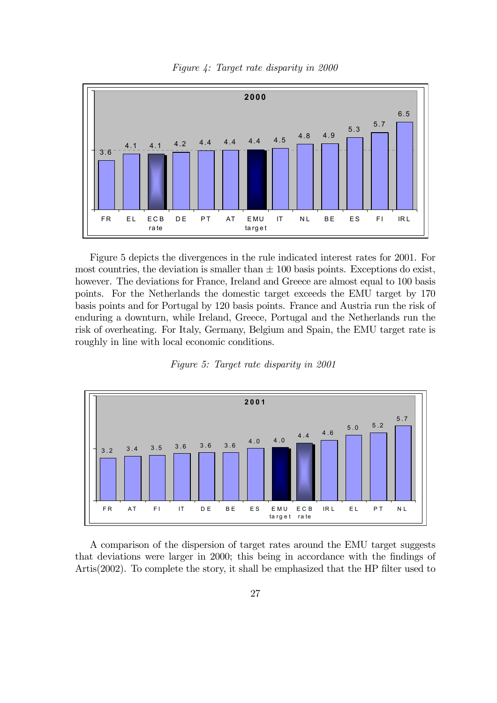



Figure 5 depicts the divergences in the rule indicated interest rates for 2001. For most countries, the deviation is smaller than  $\pm$  100 basis points. Exceptions do exist, however. The deviations for France, Ireland and Greece are almost equal to 100 basis points. For the Netherlands the domestic target exceeds the EMU target by 170 basis points and for Portugal by 120 basis points. France and Austria run the risk of enduring a downturn, while Ireland, Greece, Portugal and the Netherlands run the risk of overheating. For Italy, Germany, Belgium and Spain, the EMU target rate is roughly in line with local economic conditions.





A comparison of the dispersion of target rates around the EMU target suggests that deviations were larger in 2000; this being in accordance with the findings of Artis(2002). To complete the story, it shall be emphasized that the HP filter used to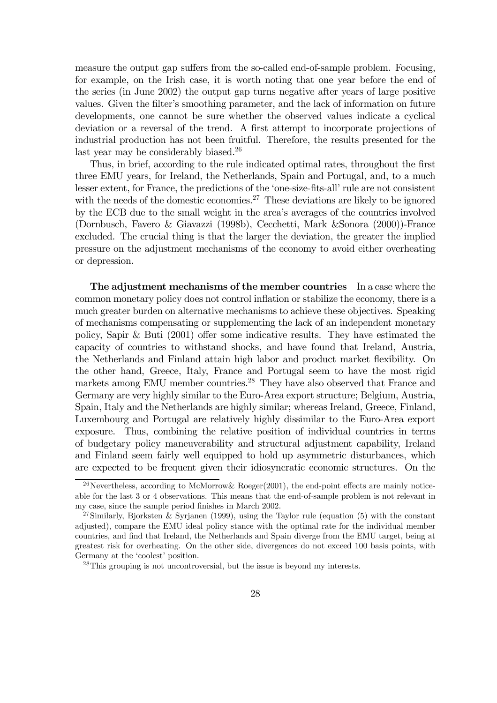measure the output gap suffers from the so-called end-of-sample problem. Focusing, for example, on the Irish case, it is worth noting that one year before the end of the series (in June 2002) the output gap turns negative after years of large positive values. Given the filter's smoothing parameter, and the lack of information on future developments, one cannot be sure whether the observed values indicate a cyclical deviation or a reversal of the trend. A first attempt to incorporate projections of industrial production has not been fruitful. Therefore, the results presented for the last year may be considerably biased.<sup>26</sup>

Thus, in brief, according to the rule indicated optimal rates, throughout the first three EMU years, for Ireland, the Netherlands, Spain and Portugal, and, to a much lesser extent, for France, the predictions of the 'one-size-fits-all' rule are not consistent with the needs of the domestic economies.<sup>27</sup> These deviations are likely to be ignored by the ECB due to the small weight in the area's averages of the countries involved (Dornbusch, Favero & Giavazzi (1998b), Cecchetti, Mark &Sonora (2000))-France excluded. The crucial thing is that the larger the deviation, the greater the implied pressure on the adjustment mechanisms of the economy to avoid either overheating or depression.

The adjustment mechanisms of the member countries In a case where the common monetary policy does not control inflation or stabilize the economy, there is a much greater burden on alternative mechanisms to achieve these objectives. Speaking of mechanisms compensating or supplementing the lack of an independent monetary policy, Sapir & Buti (2001) offer some indicative results. They have estimated the capacity of countries to withstand shocks, and have found that Ireland, Austria, the Netherlands and Finland attain high labor and product market flexibility. On the other hand, Greece, Italy, France and Portugal seem to have the most rigid markets among EMU member countries.<sup>28</sup> They have also observed that France and Germany are very highly similar to the Euro-Area export structure; Belgium, Austria, Spain, Italy and the Netherlands are highly similar; whereas Ireland, Greece, Finland, Luxembourg and Portugal are relatively highly dissimilar to the Euro-Area export exposure. Thus, combining the relative position of individual countries in terms of budgetary policy maneuverability and structural adjustment capability, Ireland and Finland seem fairly well equipped to hold up asymmetric disturbances, which are expected to be frequent given their idiosyncratic economic structures. On the

<sup>&</sup>lt;sup>26</sup>Nevertheless, according to McMorrow Roeger(2001), the end-point effects are mainly noticeable for the last 3 or 4 observations. This means that the end-of-sample problem is not relevant in my case, since the sample period finishes in March 2002.

<sup>&</sup>lt;sup>27</sup>Similarly, Bjorksten & Syrjanen (1999), using the Taylor rule (equation  $(5)$  with the constant adjusted), compare the EMU ideal policy stance with the optimal rate for the individual member countries, and find that Ireland, the Netherlands and Spain diverge from the EMU target, being at greatest risk for overheating. On the other side, divergences do not exceed 100 basis points, with Germany at the 'coolest' position.

 $^{28}$ This grouping is not uncontroversial, but the issue is beyond my interests.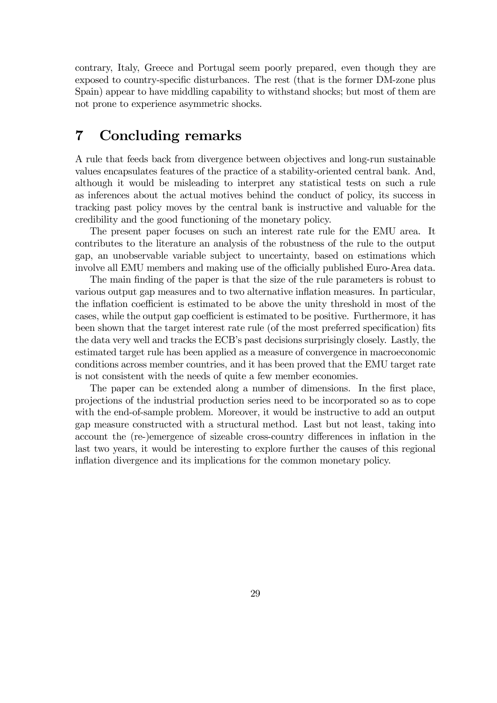contrary, Italy, Greece and Portugal seem poorly prepared, even though they are exposed to country-specific disturbances. The rest (that is the former DM-zone plus Spain) appear to have middling capability to withstand shocks; but most of them are not prone to experience asymmetric shocks.

### 7 Concluding remarks

A rule that feeds back from divergence between objectives and long-run sustainable values encapsulates features of the practice of a stability-oriented central bank. And, although it would be misleading to interpret any statistical tests on such a rule as inferences about the actual motives behind the conduct of policy, its success in tracking past policy moves by the central bank is instructive and valuable for the credibility and the good functioning of the monetary policy.

The present paper focuses on such an interest rate rule for the EMU area. It contributes to the literature an analysis of the robustness of the rule to the output gap, an unobservable variable subject to uncertainty, based on estimations which involve all EMU members and making use of the officially published Euro-Area data.

The main finding of the paper is that the size of the rule parameters is robust to various output gap measures and to two alternative inflation measures. In particular, the inflation coefficient is estimated to be above the unity threshold in most of the cases, while the output gap coefficient is estimated to be positive. Furthermore, it has been shown that the target interest rate rule (of the most preferred specification) fits the data very well and tracks the ECB's past decisions surprisingly closely. Lastly, the estimated target rule has been applied as a measure of convergence in macroeconomic conditions across member countries, and it has been proved that the EMU target rate is not consistent with the needs of quite a few member economies.

The paper can be extended along a number of dimensions. In the first place, projections of the industrial production series need to be incorporated so as to cope with the end-of-sample problem. Moreover, it would be instructive to add an output gap measure constructed with a structural method. Last but not least, taking into account the (re-)emergence of sizeable cross-country differences in inflation in the last two years, it would be interesting to explore further the causes of this regional inflation divergence and its implications for the common monetary policy.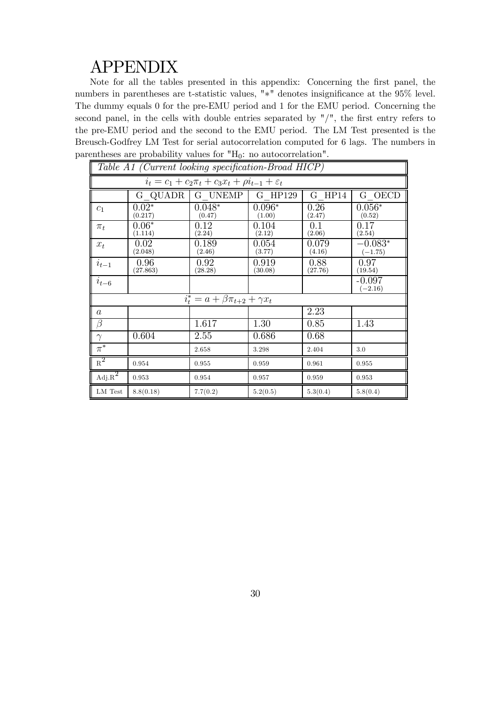## APPENDIX

Note for all the tables presented in this appendix: Concerning the first panel, the numbers in parentheses are t-statistic values, "∗" denotes insignificance at the 95% level. The dummy equals 0 for the pre-EMU period and 1 for the EMU period. Concerning the second panel, in the cells with double entries separated by "/", the first entry refers to the pre-EMU period and the second to the EMU period. The LM Test presented is the Breusch-Godfrey LM Test for serial autocorrelation computed for 6 lags. The numbers in parentheses are probability values for  $H_0$ : no autocorrelation".

|                                        | Table A1 (Current looking specification-Broad HICP)              |                                            |                    |                 |                        |  |  |  |  |  |
|----------------------------------------|------------------------------------------------------------------|--------------------------------------------|--------------------|-----------------|------------------------|--|--|--|--|--|
|                                        | $i_t = c_1 + c_2 \pi_t + c_3 x_t + \rho i_{t-1} + \varepsilon_t$ |                                            |                    |                 |                        |  |  |  |  |  |
|                                        | G QUADR                                                          | G UNEMP                                    | G HP129            | $G$ HP14        | G OECD                 |  |  |  |  |  |
| $c_1$                                  | $0.02*$<br>(0.217)                                               | $0.048*$<br>(0.47)                         | $0.096*$<br>(1.00) | 0.26<br>(2.47)  | $0.056*$<br>(0.52)     |  |  |  |  |  |
| $\pi_t$                                | $0.06*$<br>(1.114)                                               | 0.12<br>(2.24)                             | 0.104<br>(2.12)    | 0.1<br>(2.06)   | 0.17<br>(2.54)         |  |  |  |  |  |
| $x_t$                                  | 0.02<br>(2.048)                                                  | 0.189<br>(2.46)                            | 0.054<br>(3.77)    | 0.079<br>(4.16) | $-0.083*$<br>$(-1.75)$ |  |  |  |  |  |
| $i_{t-1}$                              | 0.96<br>(27.863)                                                 | 0.92<br>(28.28)                            | 0.919<br>(30.08)   | 0.88<br>(27.76) | 0.97<br>(19.54)        |  |  |  |  |  |
| $i_{t-6}$                              |                                                                  |                                            |                    |                 | $-0.097$<br>$-2.16)$   |  |  |  |  |  |
|                                        |                                                                  | $i_t^* = a + \beta \pi_{t+2} + \gamma x_t$ |                    |                 |                        |  |  |  |  |  |
| $\boldsymbol{a}$                       |                                                                  |                                            |                    | 2.23            |                        |  |  |  |  |  |
| $\beta$                                |                                                                  | 1.617                                      | 1.30               | 0.85            | 1.43                   |  |  |  |  |  |
| $\gamma$                               | 0.604                                                            | 2.55                                       | 0.686              | 0.68            |                        |  |  |  |  |  |
| $\pi^*$                                |                                                                  | 2.658                                      | 3.298              | 2.404           | 3.0                    |  |  |  |  |  |
| $R^2$                                  | 0.954                                                            | 0.955                                      | 0.959              | 0.961           | 0.955                  |  |  |  |  |  |
| $\mathrm{Adj}.\overline{\mathrm{R}^2}$ | 0.953                                                            | 0.954                                      | 0.957              | 0.959           | 0.953                  |  |  |  |  |  |
| LM Test                                | 8.8(0.18)                                                        | 7.7(0.2)                                   | 5.2(0.5)           | 5.3(0.4)        | 5.8(0.4)               |  |  |  |  |  |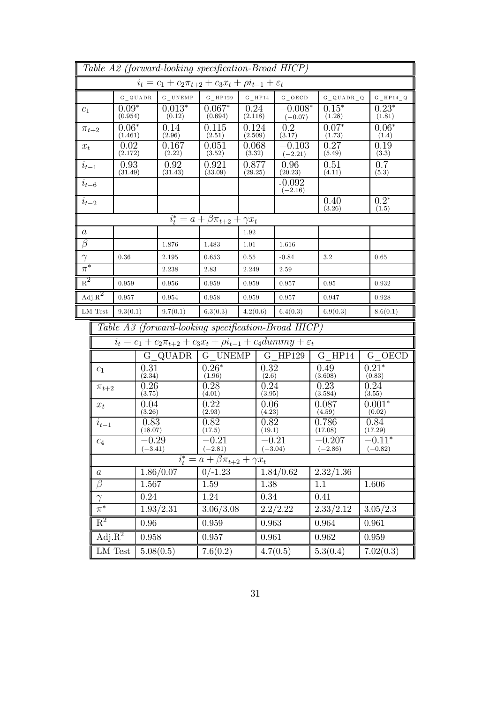|                  | Table A2 (forward-looking specification-Broad HICP) |                    |                      |                    |                                                                                |                  |                      |                        |                       |                          |  |                       |
|------------------|-----------------------------------------------------|--------------------|----------------------|--------------------|--------------------------------------------------------------------------------|------------------|----------------------|------------------------|-----------------------|--------------------------|--|-----------------------|
|                  |                                                     |                    |                      |                    | $i_t = c_1 + c_2\pi_{t+2} + c_3x_t + \rho i_{t-1} + \varepsilon_t$             |                  |                      |                        |                       |                          |  |                       |
|                  |                                                     |                    | $G$ QUADR            | $G$ UNEMP          | $G$ HP129                                                                      |                  | $G$ HP14             | G OECD                 |                       | $G_Q$ $Q$ $U$ $A$ $DR_Q$ |  | $G_HP14_Q$            |
| $c_1$            |                                                     | $0.09*$<br>(0.954) |                      | $0.013*$<br>(0.12) | $0.067*$<br>(0.694)                                                            | 0.24<br>(2.118)  |                      | $-0.008*$<br>$(-0.07)$ | $0.15*$<br>(1.28)     |                          |  | $0.23*$<br>(1.81)     |
| $\pi_{t+2}$      |                                                     | $0.06*$<br>(1.461) |                      | 0.14<br>(2.96)     | 0.115<br>(2.51)                                                                | 0.124<br>(2.509) |                      | 0.2<br>(3.17)          | $0.07*$<br>(1.73)     |                          |  | $0.06*$<br>(1.4)      |
| $x_t$            | 0.02<br>(2.172)                                     |                    |                      | 0.167<br>(2.22)    | 0.051<br>(3.52)                                                                | 0.068<br>(3.32)  |                      | $-0.103$<br>$(-2.21)$  | 0.27<br>(5.49)        |                          |  | 0.19<br>(3.3)         |
| $i_{t-1}$        |                                                     | 0.93<br>(31.49)    |                      | 0.92<br>(31.43)    | 0.921<br>0.877<br>(33.09)<br>(29.25)                                           |                  |                      | 0.96<br>(20.23)        | 0.51<br>(4.11)        |                          |  | 0.7<br>(5.3)          |
| $i_{t-6}$        |                                                     |                    |                      |                    |                                                                                |                  |                      | $-0.092$<br>$(-2.16)$  |                       |                          |  |                       |
| $i_{t-2}$        |                                                     |                    |                      |                    |                                                                                |                  |                      |                        | 0.40<br>(3.26)        |                          |  | $0.2*$<br>(1.5)       |
|                  |                                                     |                    |                      |                    | $i_t^* = a + \beta \pi_{t+2} + \gamma x_t$                                     |                  |                      |                        |                       |                          |  |                       |
| $\boldsymbol{a}$ |                                                     |                    |                      |                    |                                                                                | 1.92             |                      |                        |                       |                          |  |                       |
| $\beta$          |                                                     |                    |                      | 1.876              | 1.483                                                                          | 1.01             |                      | 1.616                  |                       |                          |  |                       |
| $\gamma$         |                                                     | 0.36               |                      | 2.195              | 0.653                                                                          | 0.55             |                      | $-0.84$                | 3.2                   |                          |  | 0.65                  |
| $\pi^*$          |                                                     |                    |                      | 2.238              | 2.83                                                                           | 2.249            |                      | 2.59                   |                       |                          |  |                       |
| $R^2$            |                                                     | 0.959<br>0.956     |                      |                    | 0.959                                                                          | 0.959            |                      | 0.957                  |                       | 0.95                     |  | 0.932                 |
|                  | $Adj.R^2$                                           | 0.957              |                      | 0.954              | 0.958<br>0.959                                                                 |                  |                      | 0.957                  | 0.947                 |                          |  | 0.928                 |
|                  | LM Test                                             | 9.3(0.1)           |                      | 9.7(0.1)           | 6.3(0.3)                                                                       | 4.2(0.6)         |                      | 6.4(0.3)               |                       | 6.9(0.3)                 |  | 8.6(0.1)              |
|                  |                                                     |                    |                      |                    | Table A3 (forward-looking specification-Broad HICP)                            |                  |                      |                        |                       |                          |  |                       |
|                  |                                                     |                    |                      |                    | $i_t = c_1 + c_2\pi_{t+2} + c_3x_t + \rho i_{t-1} + c_4dummxy + \varepsilon_t$ |                  |                      |                        |                       |                          |  |                       |
|                  |                                                     |                    |                      | G QUADR            | G UNEMP                                                                        |                  |                      | G HP129                |                       | $G$ HP14                 |  | G OECD                |
|                  | $c_1$                                               |                    | 0.31<br>(2.34)       |                    | $0.26*$<br>(1.96)                                                              |                  | 0.32<br>(2.6)        |                        | 0.49<br>(3.608)       |                          |  | $0.21*$<br>(0.83)     |
|                  | $\pi_{t+2}$                                         |                    | 0.26<br>(3.75)       |                    | 0.28<br>(4.01)                                                                 |                  |                      | 0.24<br>(3.95)         |                       | 0.23<br>(3.584)          |  | 0.24<br>(3.55)        |
|                  | $x_t$                                               |                    | 0.04<br>(3.26)       |                    | 0.22<br>(2.93)                                                                 |                  | 0.06<br>(4.23)       |                        | 0.087<br>(4.59)       |                          |  | $0.001*$<br>(0.02)    |
|                  | $i_{t-1}$                                           |                    | 0.83<br>(18.07)      |                    | 0.82<br>(17.5)                                                                 |                  | 0.82<br>(19.1)       |                        | 0.786<br>(17.08)      |                          |  | 0.84<br>(17.29)       |
|                  | $\mathfrak{c}_4$                                    |                    | $-0.29$<br>$(-3.41)$ |                    | $-0.21$<br>$(-2.81)$                                                           |                  | $-0.21$<br>$(-3.04)$ |                        | $-0.207$<br>$(-2.86)$ |                          |  | $-0.11*$<br>$(-0.82)$ |
|                  |                                                     |                    |                      |                    | $i_t^* = a + \beta \pi_{t+2} + \gamma x_t$                                     |                  |                      |                        |                       |                          |  |                       |
|                  | 1.86/0.07<br>$\it a$                                |                    |                      | $0/-1.23$          |                                                                                |                  | 1.84/0.62            | 2.32/1.36              |                       |                          |  |                       |
|                  | $\beta$<br>1.567                                    |                    | 1.59                 |                    | 1.38                                                                           |                  | 1.1                  |                        |                       | 1.606                    |  |                       |
|                  | $\gamma$                                            |                    | 0.24                 |                    | 1.24                                                                           |                  | 0.34                 |                        | 0.41                  |                          |  |                       |
|                  | $\pi^*$                                             |                    |                      | 1.93/2.31          | 3.06/3.08                                                                      |                  |                      | 2.2/2.22               | 2.33/2.12             |                          |  | 3.05/2.3              |
|                  | $\overline{\mathrm{R}^2}$                           |                    | 0.96                 |                    | 0.959                                                                          |                  | 0.963                |                        | 0.964                 |                          |  | 0.961                 |
|                  | Adj. $R^2$                                          |                    | 0.958                |                    | 0.957                                                                          |                  | 0.961                |                        | 0.962                 |                          |  | 0.959                 |
|                  |                                                     | LM Test            |                      | 5.08(0.5)          | 7.6(0.2)                                                                       |                  |                      | 4.7(0.5)               | 5.3(0.4)              |                          |  | 7.02(0.3)             |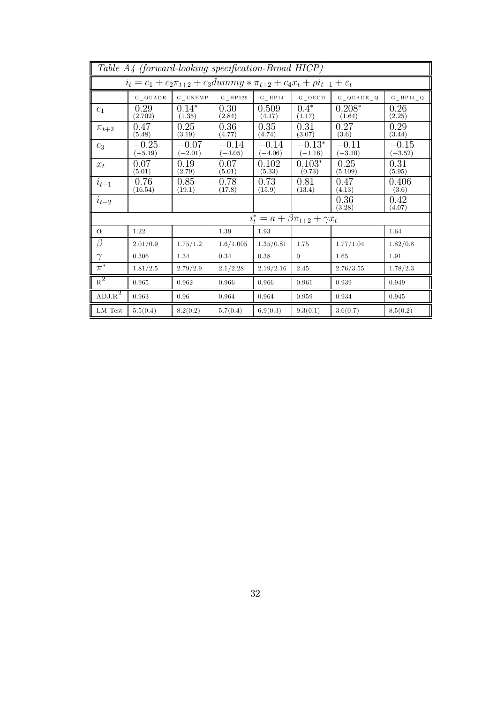|                                    | Table A4 (forward-looking specification-Broad HICP)                                          |                                                                                                                                   |                      |                      |                                                       |                      |                      |  |  |  |  |
|------------------------------------|----------------------------------------------------------------------------------------------|-----------------------------------------------------------------------------------------------------------------------------------|----------------------|----------------------|-------------------------------------------------------|----------------------|----------------------|--|--|--|--|
|                                    | $i_t = c_1 + c_2 \pi_{t+2} + c_3 dummy * \pi_{t+2} + c_4 x_t + \rho i_{t-1} + \varepsilon_t$ |                                                                                                                                   |                      |                      |                                                       |                      |                      |  |  |  |  |
|                                    | G QUADR                                                                                      | $\begin{array}{c} \textbf{G} \; \underline{\;} \; \textbf{U} \, \textbf{N} \, \textbf{E} \, \textbf{M} \, \textbf{P} \end{array}$ | $G$ HP129            | $G$ HP14             | $G$ OECD                                              | G QUADR Q            | $G$ HP14 $Q$         |  |  |  |  |
| C <sub>1</sub>                     | 0.29<br>(2.702)                                                                              | $0.14*$<br>(1.35)                                                                                                                 | 0.30<br>(2.84)       | 0.509<br>(4.17)      | $0.4*$<br>(1.17)                                      | $0.208*$<br>(1.64)   | 0.26<br>(2.25)       |  |  |  |  |
| $\pi_{t+2}$                        | 0.47<br>(5.48)                                                                               | 0.25<br>(3.19)                                                                                                                    | 0.36<br>(4.77)       | 0.35<br>(4.74)       | 0.31<br>(3.07)                                        | 0.27<br>(3.6)        | 0.29<br>(3.44)       |  |  |  |  |
| $c_3$                              | $-0.25$<br>$(-5.19)$                                                                         | $-0.07$<br>$(-2.01)$                                                                                                              | $-0.14$<br>$(-4.05)$ | $-0.14$<br>$(-4.06)$ | $-0.13*$<br>$(-1.16)$                                 | $-0.11$<br>$(-3.10)$ | $-0.15$<br>$(-3.52)$ |  |  |  |  |
| $x_t$                              | 0.07<br>(5.01)                                                                               | 0.19<br>(2.79)                                                                                                                    | 0.07<br>(5.01)       | 0.102<br>(5.33)      | $0.103*$<br>(0.73)                                    | 0.25<br>(5.109)      | 0.31<br>(5.95)       |  |  |  |  |
| $i_{t-1}$                          | 0.76<br>(16.54)                                                                              | 0.85<br>(19.1)                                                                                                                    | 0.78<br>(17.8)       | 0.73<br>(15.9)       | 0.81<br>(13.4)                                        | 0.47<br>(4.13)       | 0.406<br>(3.6)       |  |  |  |  |
| $i_{t-2}$                          |                                                                                              |                                                                                                                                   |                      |                      |                                                       | 0.36<br>(3.28)       | 0.42<br>(4.07)       |  |  |  |  |
|                                    |                                                                                              |                                                                                                                                   |                      |                      | $\overline{i_t^*} = a + \beta \pi_{t+2} + \gamma x_t$ |                      |                      |  |  |  |  |
| $\alpha$                           | 1.22                                                                                         |                                                                                                                                   | 1.39                 | 1.93                 |                                                       |                      | 1.64                 |  |  |  |  |
| $\beta$                            | 2.01/0.9                                                                                     | 1.75/1.2                                                                                                                          | 1.6/1.005            | 1.35/0.81            | 1.75                                                  | 1.77/1.04            | 1.82/0.8             |  |  |  |  |
| $\gamma$                           | 0.306                                                                                        | 1.34                                                                                                                              | 0.34                 | 0.38                 | $\theta$                                              | 1.65                 | 1.91                 |  |  |  |  |
| $\pi^*$                            | 1.81/2.5                                                                                     | 2.79/2.9                                                                                                                          | 2.1/2.28             | 2.19/2.16            | 2.45                                                  | 2.76/3.55            | 1.78/2.3             |  |  |  |  |
| $R^2$                              | 0.965                                                                                        | 0.962                                                                                                                             | 0.966                | 0.966                | 0.961                                                 | 0.939                | 0.949                |  |  |  |  |
| $\text{ADJ}.\overline{\text{R}^2}$ | 0.963                                                                                        | 0.96                                                                                                                              | 0.964                | 0.964                | 0.959                                                 | 0.934                | 0.945                |  |  |  |  |
| LM Test                            | 5.5(0.4)                                                                                     | 8.2(0.2)                                                                                                                          | 5.7(0.4)             | 6.9(0.3)             | 9.3(0.1)                                              | 3.6(0.7)             | 8.5(0.2)             |  |  |  |  |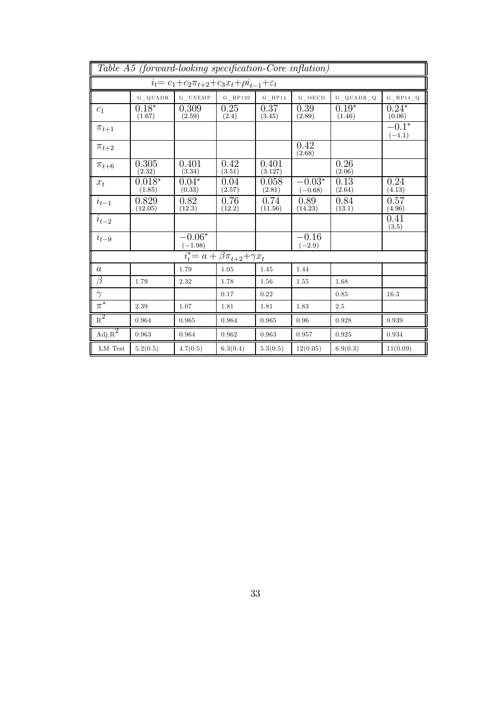|                                        | Table A5 (forward-looking specification-Core inflation) |                                                                      |                                                       |                  |                       |                   |                     |  |  |  |
|----------------------------------------|---------------------------------------------------------|----------------------------------------------------------------------|-------------------------------------------------------|------------------|-----------------------|-------------------|---------------------|--|--|--|
|                                        |                                                         | $i_t = c_1 + c_2 \pi_{t+2} + c_3 x_t + \rho i_{t-1} + \varepsilon_t$ |                                                       |                  |                       |                   |                     |  |  |  |
|                                        | $G$ QUADR                                               | $G_U NEMP$                                                           | $\mathrm{G}$ $\_$ HP 129                              | $G$ HP14         | $G$ OECD              | $G_Q UADR_Q Q$    | $\rm G\_HP14\_Q$    |  |  |  |
| c <sub>1</sub>                         | $0.18*$<br>(1.67)                                       | 0.309<br>(2.59)                                                      | 0.25<br>(2.4)                                         | 0.37<br>(3.45)   | 0.39<br>(2.89)        | $0.19*$<br>(1.46) | $0.24*$<br>(0.06)   |  |  |  |
| $\pi_{t+1}$                            |                                                         |                                                                      |                                                       |                  |                       |                   | $-0.1*$<br>$(-1.1)$ |  |  |  |
| $\pi_{t+2}$                            |                                                         |                                                                      |                                                       |                  | 0.42<br>(2.68)        |                   |                     |  |  |  |
| $\pi_{t+6}$                            | 0.305<br>(2.32)                                         | 0.401<br>(3.34)                                                      | 0.42<br>(3.51)                                        | 0.401<br>(3.127) |                       | 0.26<br>(2.06)    |                     |  |  |  |
| $x_t$                                  | $0.018*$<br>(1.85)                                      | $0.04*$<br>(0.33)                                                    | 0.04<br>(2.57)                                        | 0.058<br>(2.81)  | $-0.03*$<br>$(-0.68)$ | 0.13<br>(2.64)    | 0.24<br>(4.13)      |  |  |  |
| $i_{t-1}$                              | 0.829<br>(12.05)                                        | 0.82<br>(12.3)                                                       | 0.76<br>(12.2)                                        | 0.74<br>(11.56)  | 0.89<br>(14.23)       | 0.84<br>(13.1)    | 0.57<br>(4.96)      |  |  |  |
| $i_{t-2}$                              |                                                         |                                                                      |                                                       |                  |                       |                   | 0.41<br>(3.5)       |  |  |  |
| $i_{t-9}$                              |                                                         | $-0.06*$<br>$(-1.98)$                                                |                                                       |                  | $-0.16$<br>$(-2.9)$   |                   |                     |  |  |  |
|                                        |                                                         |                                                                      | $\overline{i_t^*} = a + \beta \pi_{t+2} + \gamma x_t$ |                  |                       |                   |                     |  |  |  |
| $\boldsymbol{a}$                       |                                                         | 1.79                                                                 | 1.05                                                  | 1.45             | 1.44                  |                   |                     |  |  |  |
| $\beta$                                | 1.79                                                    | 2.32                                                                 | 1.78                                                  | 1.56             | 1.55                  | 1.68              |                     |  |  |  |
| $\gamma$                               |                                                         |                                                                      | 0.17                                                  | 0.22             |                       | 0.85              | 16.3                |  |  |  |
| $\pi^*$                                | 2.39                                                    | 1.07                                                                 | 1.81                                                  | 1.81             | 1.83                  | 2.5               |                     |  |  |  |
| $\overline{\mathrm{R}^2}$              | 0.964                                                   | 0.965                                                                | 0.964                                                 | 0.965            | 0.96                  | 0.928             | 0.939               |  |  |  |
| $\overline{\mathrm{Adj}.\mathrm{R}^2}$ | 0.963                                                   | 0.964                                                                | 0.962                                                 | 0.963            | 0.957                 | 0.925             | 0.934               |  |  |  |
| LM Test                                | 5.2(0.5)                                                | 4.7(0.5)                                                             | 6.3(0.4)                                              | 5.3(0.5)         | 12(0.05)              | 6.9(0.3)          | 11(0.09)            |  |  |  |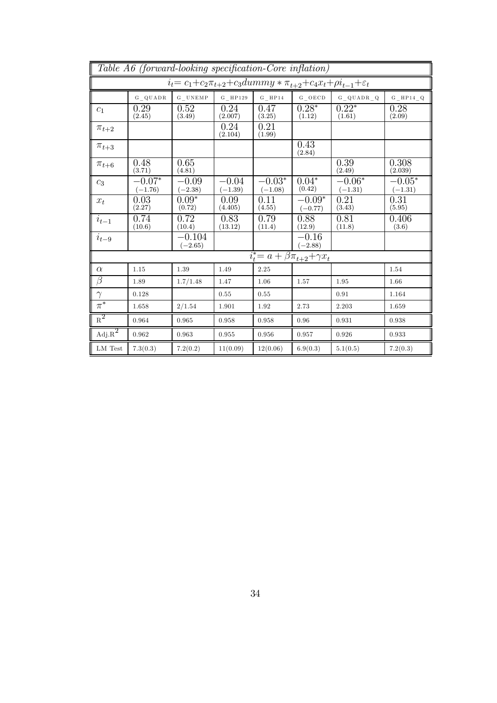|                             | Table A6 (forward-looking specification-Core inflation) |                                                                                               |                      |                       |                                                       |                       |                       |  |  |  |  |
|-----------------------------|---------------------------------------------------------|-----------------------------------------------------------------------------------------------|----------------------|-----------------------|-------------------------------------------------------|-----------------------|-----------------------|--|--|--|--|
|                             |                                                         | $i_t = c_1 + c_2 \pi_{t+2} + c_3 dummxy * \pi_{t+2} + c_4 x_t + \rho i_{t-1} + \varepsilon_t$ |                      |                       |                                                       |                       |                       |  |  |  |  |
|                             | G QUADR                                                 | $\rm G-UNEM\,P$                                                                               | $G$ _HP129           | $G$ HP14              | $G$ _OECD                                             | $G_QUADR_Q$           | $G_HP14_Q$            |  |  |  |  |
| $c_1$                       | 0.29<br>(2.45)                                          | 0.52<br>(3.49)                                                                                | 0.24<br>(2.007)      | 0.47<br>(3.25)        | $0.28*$<br>(1.12)                                     | $0.22*$<br>(1.61)     | 0.28<br>(2.09)        |  |  |  |  |
| $\pi_{t+2}$                 |                                                         |                                                                                               | 0.24<br>(2.104)      | 0.21<br>(1.99)        |                                                       |                       |                       |  |  |  |  |
| $\pi_{t+3}$                 |                                                         |                                                                                               |                      |                       | 0.43<br>(2.84)                                        |                       |                       |  |  |  |  |
| $\pi_{t+6}$                 | 0.48<br>(3.71)                                          | 0.65<br>(4.81)                                                                                |                      |                       |                                                       | 0.39<br>(2.49)        | 0.308<br>(2.039)      |  |  |  |  |
| $c_3$                       | $-0.07*$<br>$(-1.76)$                                   | $-0.09$<br>$(-2.38)$                                                                          | $-0.04$<br>$(-1.39)$ | $-0.03*$<br>$(-1.08)$ | $0.04*$<br>(0.42)                                     | $-0.06*$<br>$(-1.31)$ | $-0.05*$<br>$(-1.31)$ |  |  |  |  |
| $x_t$                       | 0.03<br>(2.27)                                          | $0.09*$<br>(0.72)                                                                             | 0.09<br>(4.405)      | 0.11<br>(4.55)        | $-0.09*$<br>$(-0.77)$                                 | 0.21<br>(3.43)        | 0.31<br>(5.95)        |  |  |  |  |
| $i_{t-1}$                   | 0.74<br>(10.6)                                          | 0.72<br>(10.4)                                                                                | 0.83<br>(13.12)      | 0.79<br>(11.4)        | 0.88<br>(12.9)                                        | 0.81<br>(11.8)        | 0.406<br>(3.6)        |  |  |  |  |
| $i_{t-9}$                   |                                                         | $-0.104$<br>$(-2.65)$                                                                         |                      |                       | $-0.16$<br>$(-2.88)$                                  |                       |                       |  |  |  |  |
|                             |                                                         |                                                                                               |                      |                       | $\overline{i_t^*} = a + \beta \pi_{t+2} + \gamma x_t$ |                       |                       |  |  |  |  |
| $\alpha$                    | 1.15                                                    | 1.39                                                                                          | 1.49                 | 2.25                  |                                                       |                       | 1.54                  |  |  |  |  |
| $\beta$                     | 1.89                                                    | 1.7/1.48                                                                                      | 1.47                 | 1.06                  | 1.57                                                  | 1.95                  | 1.66                  |  |  |  |  |
| $\gamma$                    | 0.128                                                   |                                                                                               | 0.55                 | 0.55                  |                                                       | 0.91                  | 1.164                 |  |  |  |  |
| $\pi^*$                     | 1.658                                                   | 2/1.54                                                                                        | 1.901                | 1.92                  | 2.73                                                  | 2.203                 | 1.659                 |  |  |  |  |
| $R^2$                       | 0.964                                                   | 0.965                                                                                         | 0.958                | 0.958                 | 0.96                                                  | 0.931                 | 0.938                 |  |  |  |  |
| $\mathrm{Adj}.\mathrm{R}^2$ | 0.962                                                   | 0.963                                                                                         | 0.955                | 0.956                 | 0.957                                                 | 0.926                 | 0.933                 |  |  |  |  |
| LM Test                     | 7.3(0.3)                                                | 7.2(0.2)                                                                                      | 11(0.09)             | 12(0.06)              | 6.9(0.3)                                              | 5.1(0.5)              | 7.2(0.3)              |  |  |  |  |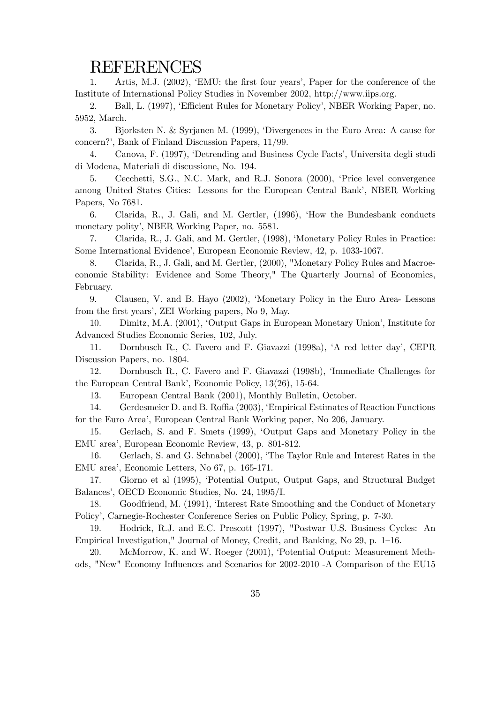## REFERENCES

1. Artis, M.J. (2002), 'EMU: the first four years', Paper for the conference of the Institute of International Policy Studies in November 2002, http://www.iips.org.

2. Ball, L. (1997), 'Efficient Rules for Monetary Policy', NBER Working Paper, no. 5952, March.

3. Bjorksten N. & Syrjanen M. (1999), 'Divergences in the Euro Area: A cause for concern?', Bank of Finland Discussion Papers, 11/99.

4. Canova, F. (1997), 'Detrending and Business Cycle Facts', Universita degli studi di Modena, Materiali di discussione, No. 194.

5. Cecchetti, S.G., N.C. Mark, and R.J. Sonora (2000), 'Price level convergence among United States Cities: Lessons for the European Central Bank', NBER Working Papers, No 7681.

6. Clarida, R., J. Gali, and M. Gertler, (1996), 'How the Bundesbank conducts monetary polity', NBER Working Paper, no. 5581.

7. Clarida, R., J. Gali, and M. Gertler, (1998), 'Monetary Policy Rules in Practice: Some International Evidence', European Economic Review, 42, p. 1033-1067.

8. Clarida, R., J. Gali, and M. Gertler, (2000), "Monetary Policy Rules and Macroeconomic Stability: Evidence and Some Theory," The Quarterly Journal of Economics, February.

9. Clausen, V. and B. Hayo (2002), 'Monetary Policy in the Euro Area- Lessons from the first years', ZEI Working papers, No 9, May.

10. Dimitz, M.A. (2001), 'Output Gaps in European Monetary Union', Institute for Advanced Studies Economic Series, 102, July.

11. Dornbusch R., C. Favero and F. Giavazzi (1998a), 'A red letter day', CEPR Discussion Papers, no. 1804.

12. Dornbusch R., C. Favero and F. Giavazzi (1998b), 'Immediate Challenges for the European Central Bank', Economic Policy, 13(26), 15-64.

13. European Central Bank (2001), Monthly Bulletin, October.

14. Gerdesmeier D. and B. Roffia (2003), 'Empirical Estimates of Reaction Functions for the Euro Area', European Central Bank Working paper, No 206, January.

15. Gerlach, S. and F. Smets (1999), 'Output Gaps and Monetary Policy in the EMU area', European Economic Review, 43, p. 801-812.

16. Gerlach, S. and G. Schnabel (2000), 'The Taylor Rule and Interest Rates in the EMU area', Economic Letters, No 67, p. 165-171.

17. Giorno et al (1995), 'Potential Output, Output Gaps, and Structural Budget Balances', OECD Economic Studies, No. 24, 1995/I.

18. Goodfriend, M. (1991), 'Interest Rate Smoothing and the Conduct of Monetary Policy', Carnegie-Rochester Conference Series on Public Policy, Spring, p. 7-30.

19. Hodrick, R.J. and E.C. Prescott (1997), "Postwar U.S. Business Cycles: An Empirical Investigation," Journal of Money, Credit, and Banking, No 29, p. 1—16.

20. McMorrow, K. and W. Roeger (2001), 'Potential Output: Measurement Methods, "New" Economy Influences and Scenarios for 2002-2010 -A Comparison of the EU15